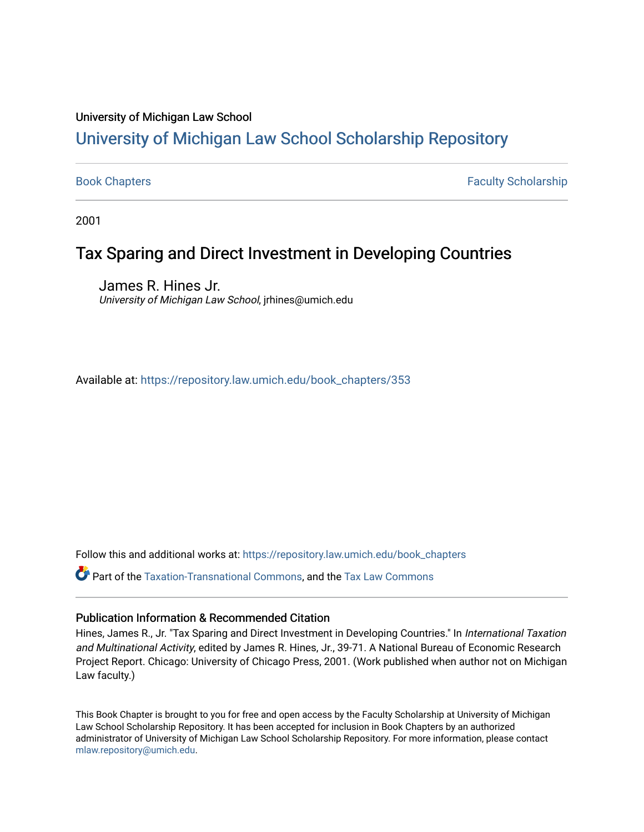# University of Michigan Law School

# [University of Michigan Law School Scholarship Repository](https://repository.law.umich.edu/)

[Book Chapters](https://repository.law.umich.edu/book_chapters) Faculty Scholarship

2001

# Tax Sparing and Direct Investment in Developing Countries

James R. Hines Jr. University of Michigan Law School, jrhines@umich.edu

Available at: [https://repository.law.umich.edu/book\\_chapters/353](https://repository.law.umich.edu/book_chapters/353) 

Follow this and additional works at: [https://repository.law.umich.edu/book\\_chapters](https://repository.law.umich.edu/book_chapters?utm_source=repository.law.umich.edu%2Fbook_chapters%2F353&utm_medium=PDF&utm_campaign=PDFCoverPages)

Part of the [Taxation-Transnational Commons](https://network.bepress.com/hgg/discipline/883?utm_source=repository.law.umich.edu%2Fbook_chapters%2F353&utm_medium=PDF&utm_campaign=PDFCoverPages), and the [Tax Law Commons](https://network.bepress.com/hgg/discipline/898?utm_source=repository.law.umich.edu%2Fbook_chapters%2F353&utm_medium=PDF&utm_campaign=PDFCoverPages) 

# Publication Information & Recommended Citation

Hines, James R., Jr. "Tax Sparing and Direct Investment in Developing Countries." In International Taxation and Multinational Activity, edited by James R. Hines, Jr., 39-71. A National Bureau of Economic Research Project Report. Chicago: University of Chicago Press, 2001. (Work published when author not on Michigan Law faculty.)

This Book Chapter is brought to you for free and open access by the Faculty Scholarship at University of Michigan Law School Scholarship Repository. It has been accepted for inclusion in Book Chapters by an authorized administrator of University of Michigan Law School Scholarship Repository. For more information, please contact [mlaw.repository@umich.edu.](mailto:mlaw.repository@umich.edu)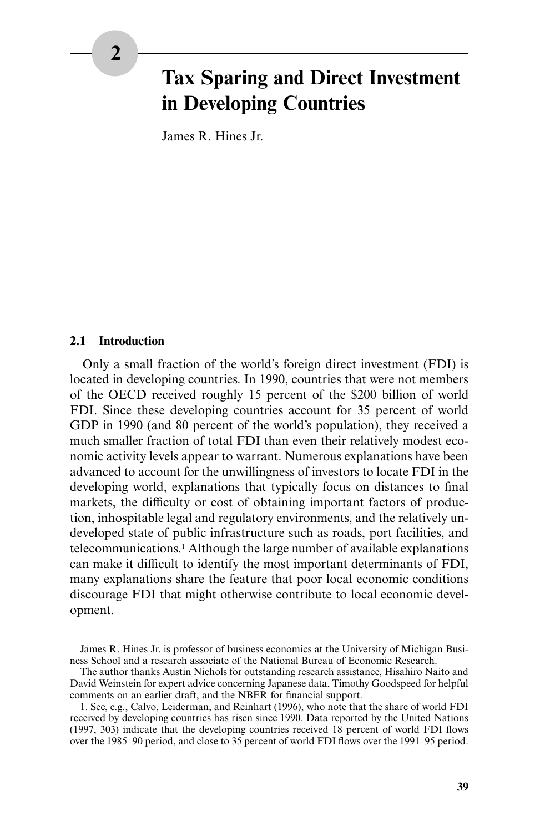# **Tax Sparing and Direct Investment in Developing Countries**

James R. Hines Jr.

### **2.1 Introduction**

Only a small fraction of the world's foreign direct investment (FDI) is located in developing countries. In 1990, countries that were not members of the OECD received roughly 15 percent of the \$200 billion of world FDI. Since these developing countries account for 35 percent of world GDP in 1990 (and 80 percent of the world's population), they received a much smaller fraction of total FDI than even their relatively modest economic activity levels appear to warrant. Numerous explanations have been advanced to account for the unwillingness of investors to locate FDI in the developing world, explanations that typically focus on distances to final markets, the difficulty or cost of obtaining important factors of production, inhospitable legal and regulatory environments, and the relatively undeveloped state of public infrastructure such as roads, port facilities, and telecommunications.1 Although the large number of available explanations can make it difficult to identify the most important determinants of FDI, many explanations share the feature that poor local economic conditions discourage FDI that might otherwise contribute to local economic development.

James R. Hines Jr. is professor of business economics at the University of Michigan Business School and a research associate of the National Bureau of Economic Research.

The author thanks Austin Nichols for outstanding research assistance, Hisahiro Naito and David Weinstein for expert advice concerning Japanese data, Timothy Goodspeed for helpful comments on an earlier draft, and the NBER for financial support.

<sup>1.</sup> See, e.g., Calvo, Leiderman, and Reinhart (1996), who note that the share of world FDI received by developing countries has risen since 1990. Data reported by the United Nations (1997, 303) indicate that the developing countries received 18 percent of world FDI flows over the 1985–90 period, and close to 35 percent of world FDI flows over the 1991–95 period.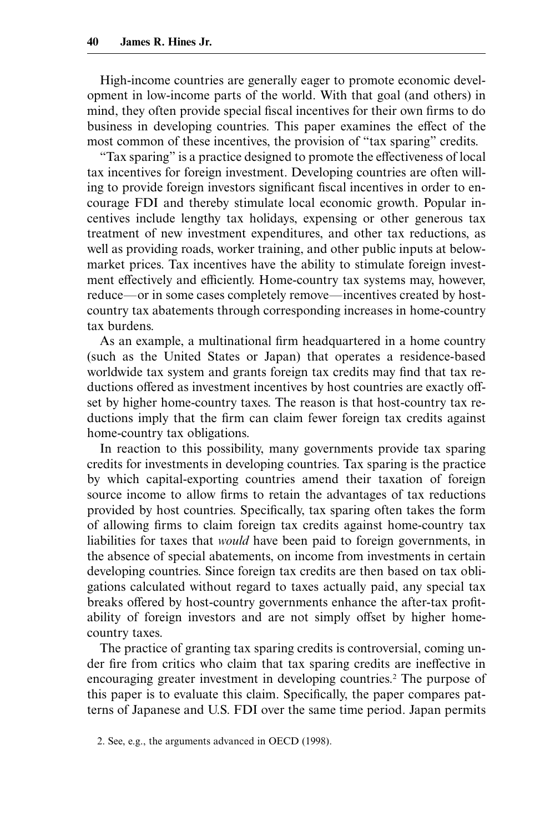High-income countries are generally eager to promote economic development in low-income parts of the world. With that goal (and others) in mind, they often provide special fiscal incentives for their own firms to do business in developing countries. This paper examines the effect of the most common of these incentives, the provision of "tax sparing" credits.

"Tax sparing" is a practice designed to promote the effectiveness of local tax incentives for foreign investment. Developing countries are often willing to provide foreign investors significant fiscal incentives in order to encourage FDI and thereby stimulate local economic growth. Popular incentives include lengthy tax holidays, expensing or other generous tax treatment of new investment expenditures, and other tax reductions, as well as providing roads, worker training, and other public inputs at belowmarket prices. Tax incentives have the ability to stimulate foreign investment effectively and efficiently. Home-country tax systems may, however, reduce—or in some cases completely remove—incentives created by hostcountry tax abatements through corresponding increases in home-country tax burdens.

As an example, a multinational firm headquartered in a home country (such as the United States or Japan) that operates a residence-based worldwide tax system and grants foreign tax credits may find that tax reductions offered as investment incentives by host countries are exactly offset by higher home-country taxes. The reason is that host-country tax reductions imply that the firm can claim fewer foreign tax credits against home-country tax obligations.

In reaction to this possibility, many governments provide tax sparing credits for investments in developing countries. Tax sparing is the practice by which capital-exporting countries amend their taxation of foreign source income to allow firms to retain the advantages of tax reductions provided by host countries. Specifically, tax sparing often takes the form of allowing firms to claim foreign tax credits against home-country tax liabilities for taxes that *would* have been paid to foreign governments, in the absence of special abatements, on income from investments in certain developing countries. Since foreign tax credits are then based on tax obligations calculated without regard to taxes actually paid, any special tax breaks offered by host-country governments enhance the after-tax profitability of foreign investors and are not simply offset by higher homecountry taxes.

The practice of granting tax sparing credits is controversial, coming under fire from critics who claim that tax sparing credits are ineffective in encouraging greater investment in developing countries.<sup>2</sup> The purpose of this paper is to evaluate this claim. Specifically, the paper compares patterns of Japanese and U.S. FDI over the same time period. Japan permits

<sup>2.</sup> See, e.g., the arguments advanced in OECD (1998).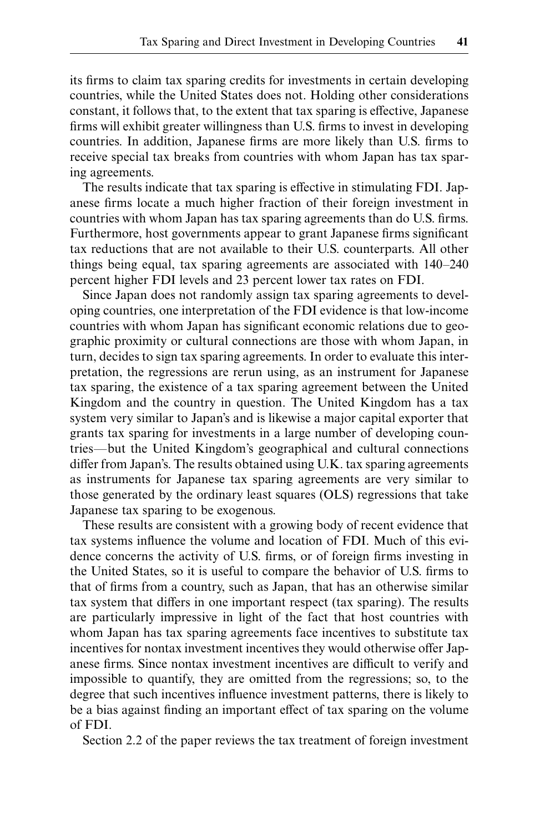its firms to claim tax sparing credits for investments in certain developing countries, while the United States does not. Holding other considerations constant, it follows that, to the extent that tax sparing is effective, Japanese firms will exhibit greater willingness than U.S. firms to invest in developing countries. In addition, Japanese firms are more likely than U.S. firms to receive special tax breaks from countries with whom Japan has tax sparing agreements.

The results indicate that tax sparing is effective in stimulating FDI. Japanese firms locate a much higher fraction of their foreign investment in countries with whom Japan has tax sparing agreements than do U.S. firms. Furthermore, host governments appear to grant Japanese firms significant tax reductions that are not available to their U.S. counterparts. All other things being equal, tax sparing agreements are associated with 140–240 percent higher FDI levels and 23 percent lower tax rates on FDI.

Since Japan does not randomly assign tax sparing agreements to developing countries, one interpretation of the FDI evidence is that low-income countries with whom Japan has significant economic relations due to geographic proximity or cultural connections are those with whom Japan, in turn, decides to sign tax sparing agreements. In order to evaluate this interpretation, the regressions are rerun using, as an instrument for Japanese tax sparing, the existence of a tax sparing agreement between the United Kingdom and the country in question. The United Kingdom has a tax system very similar to Japan's and is likewise a major capital exporter that grants tax sparing for investments in a large number of developing countries—but the United Kingdom's geographical and cultural connections differ from Japan's. The results obtained using U.K. tax sparing agreements as instruments for Japanese tax sparing agreements are very similar to those generated by the ordinary least squares (OLS) regressions that take Japanese tax sparing to be exogenous.

These results are consistent with a growing body of recent evidence that tax systems influence the volume and location of FDI. Much of this evidence concerns the activity of U.S. firms, or of foreign firms investing in the United States, so it is useful to compare the behavior of U.S. firms to that of firms from a country, such as Japan, that has an otherwise similar tax system that differs in one important respect (tax sparing). The results are particularly impressive in light of the fact that host countries with whom Japan has tax sparing agreements face incentives to substitute tax incentives for nontax investment incentives they would otherwise offer Japanese firms. Since nontax investment incentives are difficult to verify and impossible to quantify, they are omitted from the regressions; so, to the degree that such incentives influence investment patterns, there is likely to be a bias against finding an important effect of tax sparing on the volume of FDI.

Section 2.2 of the paper reviews the tax treatment of foreign investment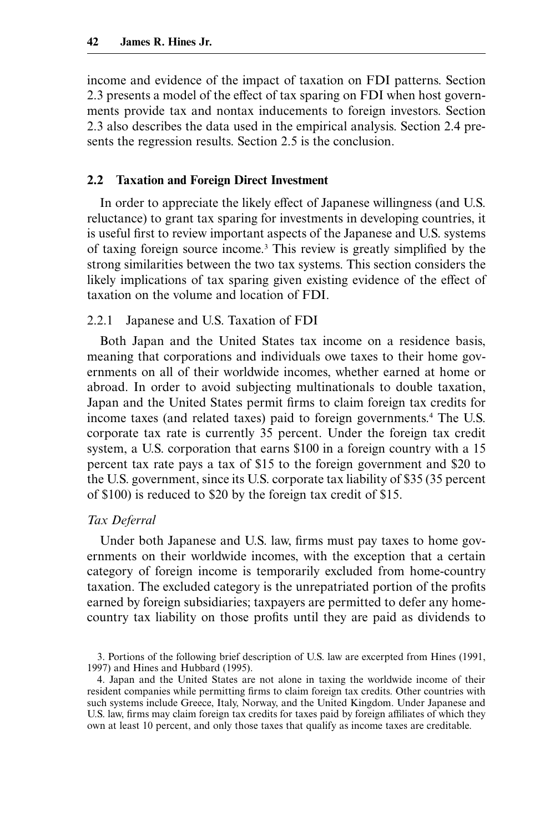income and evidence of the impact of taxation on FDI patterns. Section 2.3 presents a model of the effect of tax sparing on FDI when host governments provide tax and nontax inducements to foreign investors. Section 2.3 also describes the data used in the empirical analysis. Section 2.4 presents the regression results. Section 2.5 is the conclusion.

# **2.2 Taxation and Foreign Direct Investment**

In order to appreciate the likely effect of Japanese willingness (and U.S. reluctance) to grant tax sparing for investments in developing countries, it is useful first to review important aspects of the Japanese and U.S. systems of taxing foreign source income.3 This review is greatly simplified by the strong similarities between the two tax systems. This section considers the likely implications of tax sparing given existing evidence of the effect of taxation on the volume and location of FDI.

# 2.2.1 Japanese and U.S. Taxation of FDI

Both Japan and the United States tax income on a residence basis, meaning that corporations and individuals owe taxes to their home governments on all of their worldwide incomes, whether earned at home or abroad. In order to avoid subjecting multinationals to double taxation, Japan and the United States permit firms to claim foreign tax credits for income taxes (and related taxes) paid to foreign governments.<sup>4</sup> The U.S. corporate tax rate is currently 35 percent. Under the foreign tax credit system, a U.S. corporation that earns \$100 in a foreign country with a 15 percent tax rate pays a tax of \$15 to the foreign government and \$20 to the U.S. government, since its U.S. corporate tax liability of \$35 (35 percent of \$100) is reduced to \$20 by the foreign tax credit of \$15.

# *Tax Deferral*

Under both Japanese and U.S. law, firms must pay taxes to home governments on their worldwide incomes, with the exception that a certain category of foreign income is temporarily excluded from home-country taxation. The excluded category is the unrepatriated portion of the profits earned by foreign subsidiaries; taxpayers are permitted to defer any homecountry tax liability on those profits until they are paid as dividends to

<sup>3.</sup> Portions of the following brief description of U.S. law are excerpted from Hines (1991, 1997) and Hines and Hubbard (1995).

<sup>4.</sup> Japan and the United States are not alone in taxing the worldwide income of their resident companies while permitting firms to claim foreign tax credits. Other countries with such systems include Greece, Italy, Norway, and the United Kingdom. Under Japanese and U.S. law, firms may claim foreign tax credits for taxes paid by foreign affiliates of which they own at least 10 percent, and only those taxes that qualify as income taxes are creditable.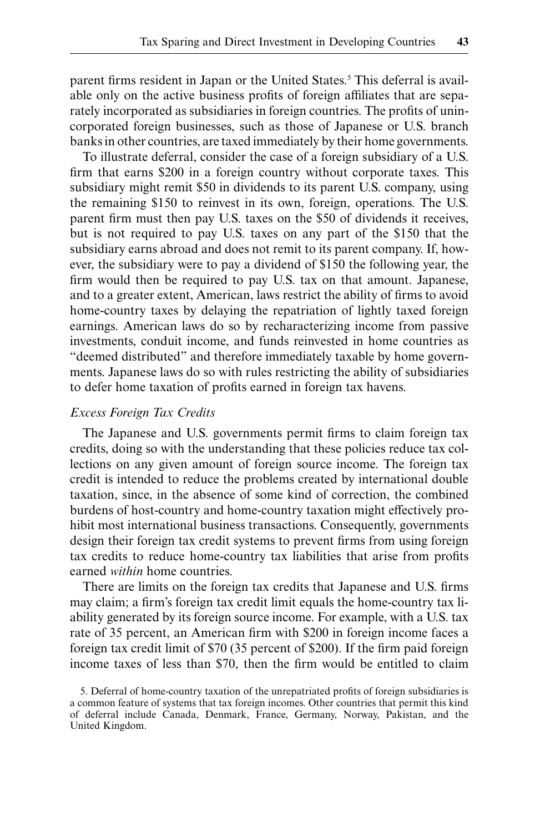parent firms resident in Japan or the United States.<sup>5</sup> This deferral is available only on the active business profits of foreign affiliates that are separately incorporated as subsidiaries in foreign countries. The profits of unincorporated foreign businesses, such as those of Japanese or U.S. branch banks in other countries, are taxed immediately by their home governments.

To illustrate deferral, consider the case of a foreign subsidiary of a U.S. firm that earns \$200 in a foreign country without corporate taxes. This subsidiary might remit \$50 in dividends to its parent U.S. company, using the remaining \$150 to reinvest in its own, foreign, operations. The U.S. parent firm must then pay U.S. taxes on the \$50 of dividends it receives, but is not required to pay U.S. taxes on any part of the \$150 that the subsidiary earns abroad and does not remit to its parent company. If, however, the subsidiary were to pay a dividend of \$150 the following year, the firm would then be required to pay U.S. tax on that amount. Japanese, and to a greater extent, American, laws restrict the ability of firms to avoid home-country taxes by delaying the repatriation of lightly taxed foreign earnings. American laws do so by recharacterizing income from passive investments, conduit income, and funds reinvested in home countries as "deemed distributed" and therefore immediately taxable by home governments. Japanese laws do so with rules restricting the ability of subsidiaries to defer home taxation of profits earned in foreign tax havens.

# *Excess Foreign Tax Credits*

The Japanese and U.S. governments permit firms to claim foreign tax credits, doing so with the understanding that these policies reduce tax collections on any given amount of foreign source income. The foreign tax credit is intended to reduce the problems created by international double taxation, since, in the absence of some kind of correction, the combined burdens of host-country and home-country taxation might effectively prohibit most international business transactions. Consequently, governments design their foreign tax credit systems to prevent firms from using foreign tax credits to reduce home-country tax liabilities that arise from profits earned *within* home countries.

There are limits on the foreign tax credits that Japanese and U.S. firms may claim; a firm's foreign tax credit limit equals the home-country tax liability generated by its foreign source income. For example, with a U.S. tax rate of 35 percent, an American firm with \$200 in foreign income faces a foreign tax credit limit of \$70 (35 percent of \$200). If the firm paid foreign income taxes of less than \$70, then the firm would be entitled to claim

<sup>5.</sup> Deferral of home-country taxation of the unrepatriated profits of foreign subsidiaries is a common feature of systems that tax foreign incomes. Other countries that permit this kind of deferral include Canada, Denmark, France, Germany, Norway, Pakistan, and the United Kingdom.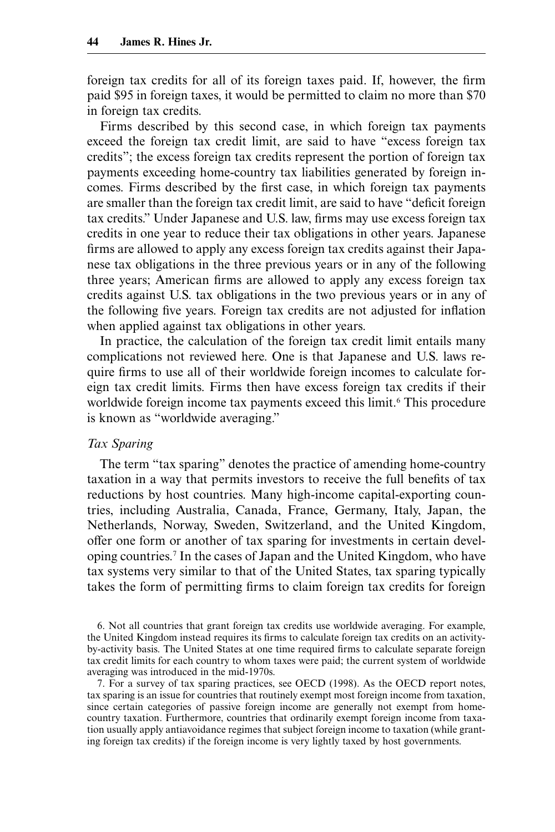foreign tax credits for all of its foreign taxes paid. If, however, the firm paid \$95 in foreign taxes, it would be permitted to claim no more than \$70 in foreign tax credits.

Firms described by this second case, in which foreign tax payments exceed the foreign tax credit limit, are said to have "excess foreign tax credits"; the excess foreign tax credits represent the portion of foreign tax payments exceeding home-country tax liabilities generated by foreign incomes. Firms described by the first case, in which foreign tax payments are smaller than the foreign tax credit limit, are said to have "deficit foreign tax credits." Under Japanese and U.S. law, firms may use excess foreign tax credits in one year to reduce their tax obligations in other years. Japanese firms are allowed to apply any excess foreign tax credits against their Japanese tax obligations in the three previous years or in any of the following three years; American firms are allowed to apply any excess foreign tax credits against U.S. tax obligations in the two previous years or in any of the following five years. Foreign tax credits are not adjusted for inflation when applied against tax obligations in other years.

In practice, the calculation of the foreign tax credit limit entails many complications not reviewed here. One is that Japanese and U.S. laws require firms to use all of their worldwide foreign incomes to calculate foreign tax credit limits. Firms then have excess foreign tax credits if their worldwide foreign income tax payments exceed this limit.<sup>6</sup> This procedure is known as "worldwide averaging."

#### *Tax Sparing*

The term "tax sparing" denotes the practice of amending home-country taxation in a way that permits investors to receive the full benefits of tax reductions by host countries. Many high-income capital-exporting countries, including Australia, Canada, France, Germany, Italy, Japan, the Netherlands, Norway, Sweden, Switzerland, and the United Kingdom, offer one form or another of tax sparing for investments in certain developing countries.7 In the cases of Japan and the United Kingdom, who have tax systems very similar to that of the United States, tax sparing typically takes the form of permitting firms to claim foreign tax credits for foreign

6. Not all countries that grant foreign tax credits use worldwide averaging. For example, the United Kingdom instead requires its firms to calculate foreign tax credits on an activityby-activity basis. The United States at one time required firms to calculate separate foreign tax credit limits for each country to whom taxes were paid; the current system of worldwide averaging was introduced in the mid-1970s.

7. For a survey of tax sparing practices, see OECD (1998). As the OECD report notes, tax sparing is an issue for countries that routinely exempt most foreign income from taxation, since certain categories of passive foreign income are generally not exempt from homecountry taxation. Furthermore, countries that ordinarily exempt foreign income from taxation usually apply antiavoidance regimes that subject foreign income to taxation (while granting foreign tax credits) if the foreign income is very lightly taxed by host governments.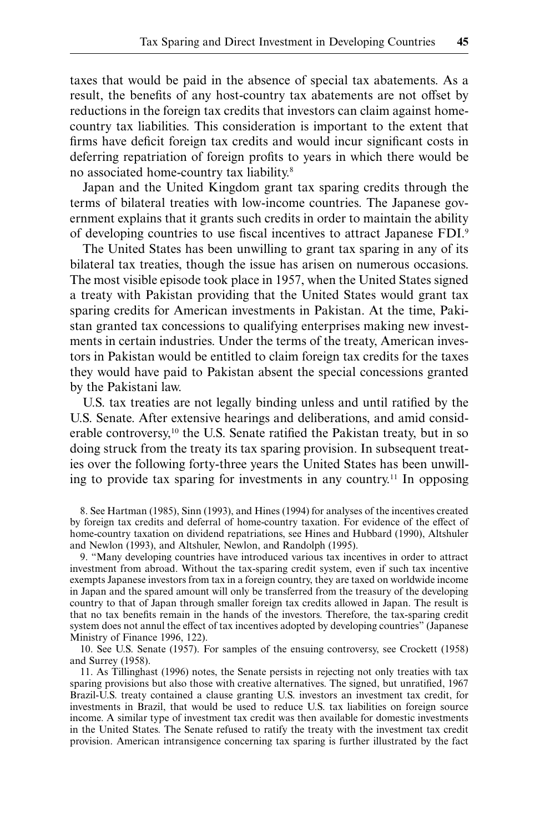taxes that would be paid in the absence of special tax abatements. As a result, the benefits of any host-country tax abatements are not offset by reductions in the foreign tax credits that investors can claim against homecountry tax liabilities. This consideration is important to the extent that firms have deficit foreign tax credits and would incur significant costs in deferring repatriation of foreign profits to years in which there would be no associated home-country tax liability.8

Japan and the United Kingdom grant tax sparing credits through the terms of bilateral treaties with low-income countries. The Japanese government explains that it grants such credits in order to maintain the ability of developing countries to use fiscal incentives to attract Japanese FDI.9

The United States has been unwilling to grant tax sparing in any of its bilateral tax treaties, though the issue has arisen on numerous occasions. The most visible episode took place in 1957, when the United States signed a treaty with Pakistan providing that the United States would grant tax sparing credits for American investments in Pakistan. At the time, Pakistan granted tax concessions to qualifying enterprises making new investments in certain industries. Under the terms of the treaty, American investors in Pakistan would be entitled to claim foreign tax credits for the taxes they would have paid to Pakistan absent the special concessions granted by the Pakistani law.

U.S. tax treaties are not legally binding unless and until ratified by the U.S. Senate. After extensive hearings and deliberations, and amid considerable controversy,<sup>10</sup> the U.S. Senate ratified the Pakistan treaty, but in so doing struck from the treaty its tax sparing provision. In subsequent treaties over the following forty-three years the United States has been unwilling to provide tax sparing for investments in any country.11 In opposing

8. See Hartman (1985), Sinn (1993), and Hines (1994) for analyses of the incentives created by foreign tax credits and deferral of home-country taxation. For evidence of the effect of home-country taxation on dividend repatriations, see Hines and Hubbard (1990), Altshuler and Newlon (1993), and Altshuler, Newlon, and Randolph (1995).

9. "Many developing countries have introduced various tax incentives in order to attract investment from abroad. Without the tax-sparing credit system, even if such tax incentive exempts Japanese investors from tax in a foreign country, they are taxed on worldwide income in Japan and the spared amount will only be transferred from the treasury of the developing country to that of Japan through smaller foreign tax credits allowed in Japan. The result is that no tax benefits remain in the hands of the investors. Therefore, the tax-sparing credit system does not annul the effect of tax incentives adopted by developing countries" (Japanese Ministry of Finance 1996, 122).

10. See U.S. Senate (1957). For samples of the ensuing controversy, see Crockett (1958) and Surrey (1958).

11. As Tillinghast (1996) notes, the Senate persists in rejecting not only treaties with tax sparing provisions but also those with creative alternatives. The signed, but unratified, 1967 Brazil-U.S. treaty contained a clause granting U.S. investors an investment tax credit, for investments in Brazil, that would be used to reduce U.S. tax liabilities on foreign source income. A similar type of investment tax credit was then available for domestic investments in the United States. The Senate refused to ratify the treaty with the investment tax credit provision. American intransigence concerning tax sparing is further illustrated by the fact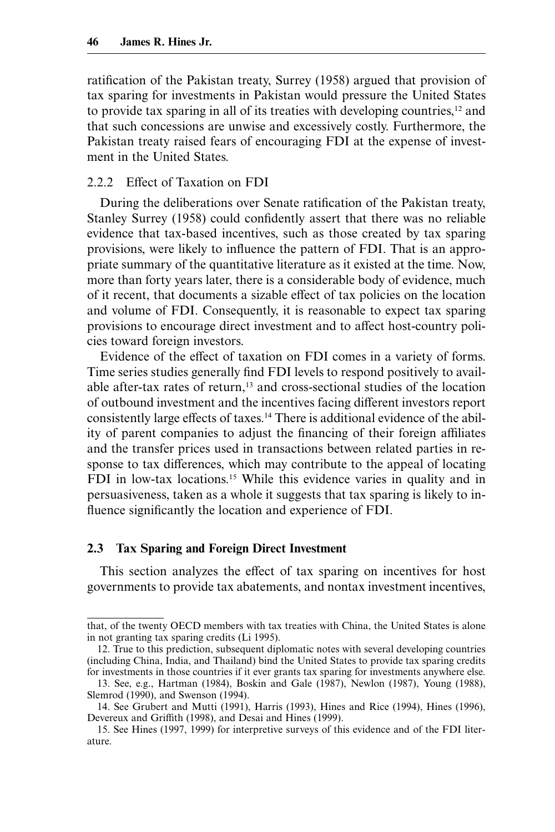ratification of the Pakistan treaty, Surrey (1958) argued that provision of tax sparing for investments in Pakistan would pressure the United States to provide tax sparing in all of its treaties with developing countries,12 and that such concessions are unwise and excessively costly. Furthermore, the Pakistan treaty raised fears of encouraging FDI at the expense of investment in the United States.

# 2.2.2 Effect of Taxation on FDI

During the deliberations over Senate ratification of the Pakistan treaty, Stanley Surrey (1958) could confidently assert that there was no reliable evidence that tax-based incentives, such as those created by tax sparing provisions, were likely to influence the pattern of FDI. That is an appropriate summary of the quantitative literature as it existed at the time. Now, more than forty years later, there is a considerable body of evidence, much of it recent, that documents a sizable effect of tax policies on the location and volume of FDI. Consequently, it is reasonable to expect tax sparing provisions to encourage direct investment and to affect host-country policies toward foreign investors.

Evidence of the effect of taxation on FDI comes in a variety of forms. Time series studies generally find FDI levels to respond positively to available after-tax rates of return,<sup>13</sup> and cross-sectional studies of the location of outbound investment and the incentives facing different investors report consistently large effects of taxes.14 There is additional evidence of the ability of parent companies to adjust the financing of their foreign affiliates and the transfer prices used in transactions between related parties in response to tax differences, which may contribute to the appeal of locating FDI in low-tax locations.15 While this evidence varies in quality and in persuasiveness, taken as a whole it suggests that tax sparing is likely to influence significantly the location and experience of FDI.

#### **2.3 Tax Sparing and Foreign Direct Investment**

This section analyzes the effect of tax sparing on incentives for host governments to provide tax abatements, and nontax investment incentives,

that, of the twenty OECD members with tax treaties with China, the United States is alone in not granting tax sparing credits (Li 1995).

<sup>12.</sup> True to this prediction, subsequent diplomatic notes with several developing countries (including China, India, and Thailand) bind the United States to provide tax sparing credits for investments in those countries if it ever grants tax sparing for investments anywhere else.

<sup>13.</sup> See, e.g., Hartman (1984), Boskin and Gale (1987), Newlon (1987), Young (1988), Slemrod (1990), and Swenson (1994).

<sup>14.</sup> See Grubert and Mutti (1991), Harris (1993), Hines and Rice (1994), Hines (1996), Devereux and Griffith (1998), and Desai and Hines (1999).

<sup>15.</sup> See Hines (1997, 1999) for interpretive surveys of this evidence and of the FDI literature.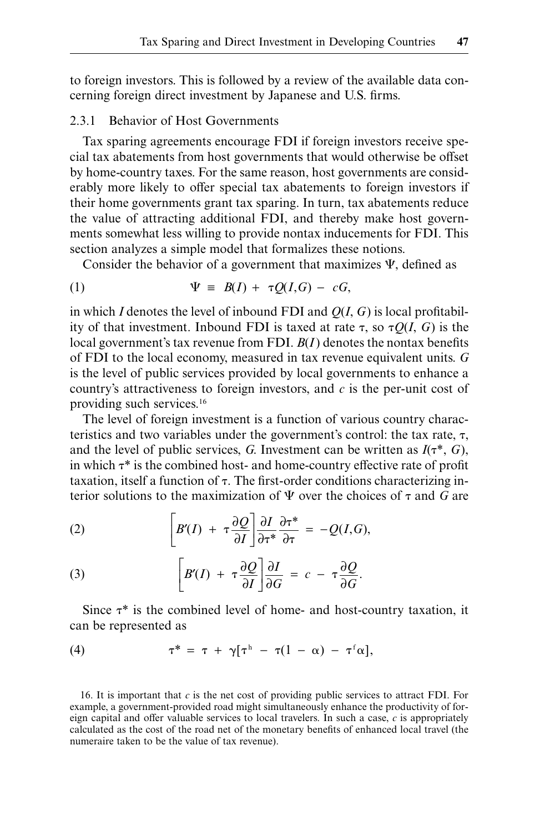to foreign investors. This is followed by a review of the available data concerning foreign direct investment by Japanese and U.S. firms.

# 2.3.1 Behavior of Host Governments

Tax sparing agreements encourage FDI if foreign investors receive special tax abatements from host governments that would otherwise be offset by home-country taxes. For the same reason, host governments are considerably more likely to offer special tax abatements to foreign investors if their home governments grant tax sparing. In turn, tax abatements reduce the value of attracting additional FDI, and thereby make host governments somewhat less willing to provide nontax inducements for FDI. This section analyzes a simple model that formalizes these notions.

Consider the behavior of a government that maximizes  $\Psi$ , defined as

(1) 
$$
\Psi \equiv B(I) + \tau Q(I, G) - cG,
$$

in which *I* denotes the level of inbound FDI and *Q*(*I*, *G*) is local profitability of that investment. Inbound FDI is taxed at rate  $\tau$ , so  $\tau Q(I, G)$  is the local government's tax revenue from FDI. *B*(*I*) denotes the nontax benefits of FDI to the local economy, measured in tax revenue equivalent units. *G* is the level of public services provided by local governments to enhance a country's attractiveness to foreign investors, and *c* is the per-unit cost of providing such services.16

The level of foreign investment is a function of various country characteristics and two variables under the government's control: the tax rate, τ, and the level of public services, *G*. Investment can be written as  $I(\tau^*, G)$ , in which  $\tau^*$  is the combined host- and home-country effective rate of profit taxation, itself a function of . The first-order conditions characterizing interior solutions to the maximization of  $\Psi$  over the choices of  $\tau$  and G are

(2) 
$$
\left[B'(I) + \tau \frac{\partial Q}{\partial I}\right] \frac{\partial I}{\partial \tau^*} \frac{\partial \tau^*}{\partial \tau} = -Q(I, G),
$$

(3) 
$$
\left[B'(I) + \tau \frac{\partial Q}{\partial I}\right] \frac{\partial I}{\partial G} = c - \tau \frac{\partial Q}{\partial G}.
$$

Since  $\tau^*$  is the combined level of home- and host-country taxation, it can be represented as

(4) 
$$
\tau^* = \tau + \gamma[\tau^h - \tau(1 - \alpha) - \tau^f\alpha],
$$

16. It is important that *c* is the net cost of providing public services to attract FDI. For example, a government-provided road might simultaneously enhance the productivity of foreign capital and offer valuable services to local travelers. In such a case, *c* is appropriately calculated as the cost of the road net of the monetary benefits of enhanced local travel (the numeraire taken to be the value of tax revenue).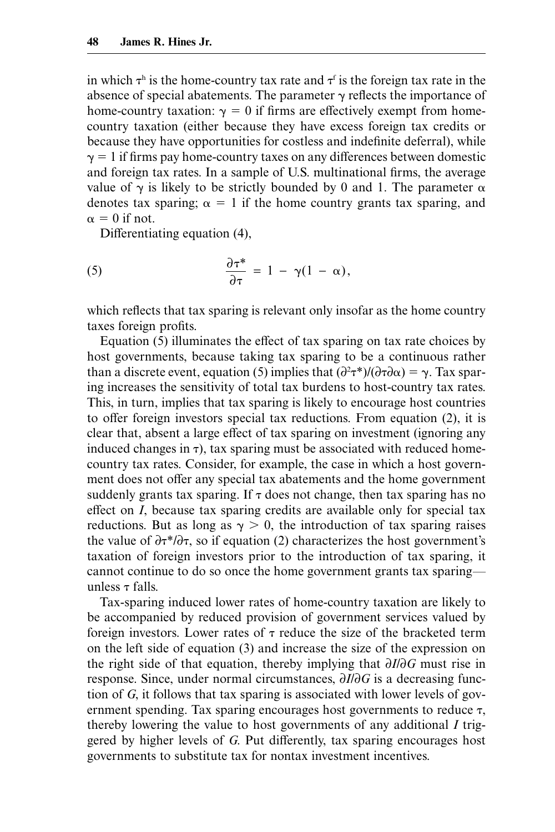in which  $\tau$ <sup>h</sup> is the home-country tax rate and  $\tau$ <sup>f</sup> is the foreign tax rate in the absence of special abatements. The parameter  $\gamma$  reflects the importance of home-country taxation:  $\gamma = 0$  if firms are effectively exempt from homecountry taxation (either because they have excess foreign tax credits or because they have opportunities for costless and indefinite deferral), while  $\gamma = 1$  if firms pay home-country taxes on any differences between domestic and foreign tax rates. In a sample of U.S. multinational firms, the average value of  $\gamma$  is likely to be strictly bounded by 0 and 1. The parameter  $\alpha$ denotes tax sparing;  $\alpha = 1$  if the home country grants tax sparing, and  $\alpha = 0$  if not.

Differentiating equation (4),

(5) 
$$
\frac{\partial \tau^*}{\partial \tau} = 1 - \gamma (1 - \alpha),
$$

which reflects that tax sparing is relevant only insofar as the home country taxes foreign profits.

Equation (5) illuminates the effect of tax sparing on tax rate choices by host governments, because taking tax sparing to be a continuous rather than a discrete event, equation (5) implies that  $(\partial^2 \tau^*)/(\partial \tau \partial \alpha) = \gamma$ . Tax sparing increases the sensitivity of total tax burdens to host-country tax rates. This, in turn, implies that tax sparing is likely to encourage host countries to offer foreign investors special tax reductions. From equation (2), it is clear that, absent a large effect of tax sparing on investment (ignoring any induced changes in  $\tau$ ), tax sparing must be associated with reduced homecountry tax rates. Consider, for example, the case in which a host government does not offer any special tax abatements and the home government suddenly grants tax sparing. If  $\tau$  does not change, then tax sparing has no effect on *I*, because tax sparing credits are available only for special tax reductions. But as long as  $\gamma > 0$ , the introduction of tax sparing raises the value of  $\partial \tau^* / \partial \tau$ , so if equation (2) characterizes the host government's taxation of foreign investors prior to the introduction of tax sparing, it cannot continue to do so once the home government grants tax sparing unless falls.

Tax-sparing induced lower rates of home-country taxation are likely to be accompanied by reduced provision of government services valued by foreign investors. Lower rates of  $\tau$  reduce the size of the bracketed term on the left side of equation (3) and increase the size of the expression on the right side of that equation, thereby implying that ∂*I*/∂*G* must rise in response. Since, under normal circumstances, ∂*I*/∂*G* is a decreasing function of *G*, it follows that tax sparing is associated with lower levels of government spending. Tax sparing encourages host governments to reduce  $\tau$ , thereby lowering the value to host governments of any additional *I* triggered by higher levels of *G*. Put differently, tax sparing encourages host governments to substitute tax for nontax investment incentives.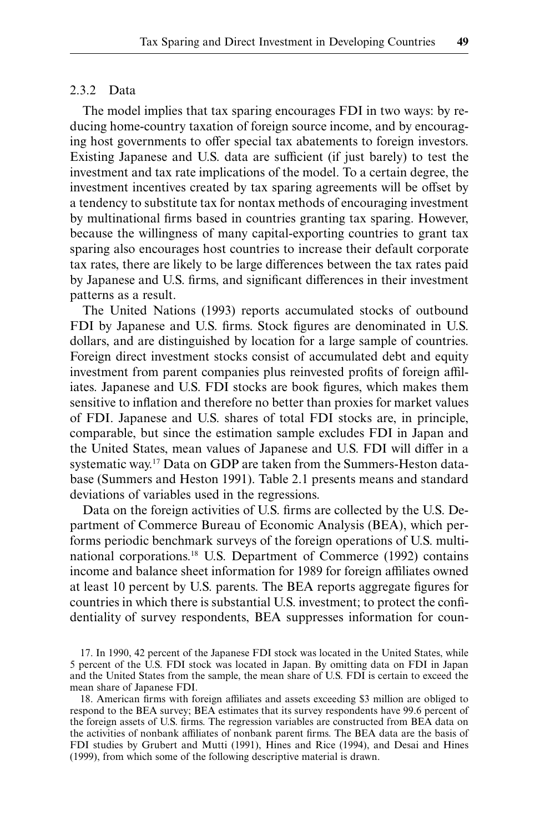# 2.3.2 Data

The model implies that tax sparing encourages FDI in two ways: by reducing home-country taxation of foreign source income, and by encouraging host governments to offer special tax abatements to foreign investors. Existing Japanese and U.S. data are sufficient (if just barely) to test the investment and tax rate implications of the model. To a certain degree, the investment incentives created by tax sparing agreements will be offset by a tendency to substitute tax for nontax methods of encouraging investment by multinational firms based in countries granting tax sparing. However, because the willingness of many capital-exporting countries to grant tax sparing also encourages host countries to increase their default corporate tax rates, there are likely to be large differences between the tax rates paid by Japanese and U.S. firms, and significant differences in their investment patterns as a result.

The United Nations (1993) reports accumulated stocks of outbound FDI by Japanese and U.S. firms. Stock figures are denominated in U.S. dollars, and are distinguished by location for a large sample of countries. Foreign direct investment stocks consist of accumulated debt and equity investment from parent companies plus reinvested profits of foreign affiliates. Japanese and U.S. FDI stocks are book figures, which makes them sensitive to inflation and therefore no better than proxies for market values of FDI. Japanese and U.S. shares of total FDI stocks are, in principle, comparable, but since the estimation sample excludes FDI in Japan and the United States, mean values of Japanese and U.S. FDI will differ in a systematic way.17 Data on GDP are taken from the Summers-Heston database (Summers and Heston 1991). Table 2.1 presents means and standard deviations of variables used in the regressions.

Data on the foreign activities of U.S. firms are collected by the U.S. Department of Commerce Bureau of Economic Analysis (BEA), which performs periodic benchmark surveys of the foreign operations of U.S. multinational corporations.18 U.S. Department of Commerce (1992) contains income and balance sheet information for 1989 for foreign affiliates owned at least 10 percent by U.S. parents. The BEA reports aggregate figures for countries in which there is substantial U.S. investment; to protect the confidentiality of survey respondents, BEA suppresses information for coun-

17. In 1990, 42 percent of the Japanese FDI stock was located in the United States, while 5 percent of the U.S. FDI stock was located in Japan. By omitting data on FDI in Japan and the United States from the sample, the mean share of U.S. FDI is certain to exceed the mean share of Japanese FDI.

18. American firms with foreign affiliates and assets exceeding \$3 million are obliged to respond to the BEA survey; BEA estimates that its survey respondents have 99.6 percent of the foreign assets of U.S. firms. The regression variables are constructed from BEA data on the activities of nonbank affiliates of nonbank parent firms. The BEA data are the basis of FDI studies by Grubert and Mutti (1991), Hines and Rice (1994), and Desai and Hines (1999), from which some of the following descriptive material is drawn.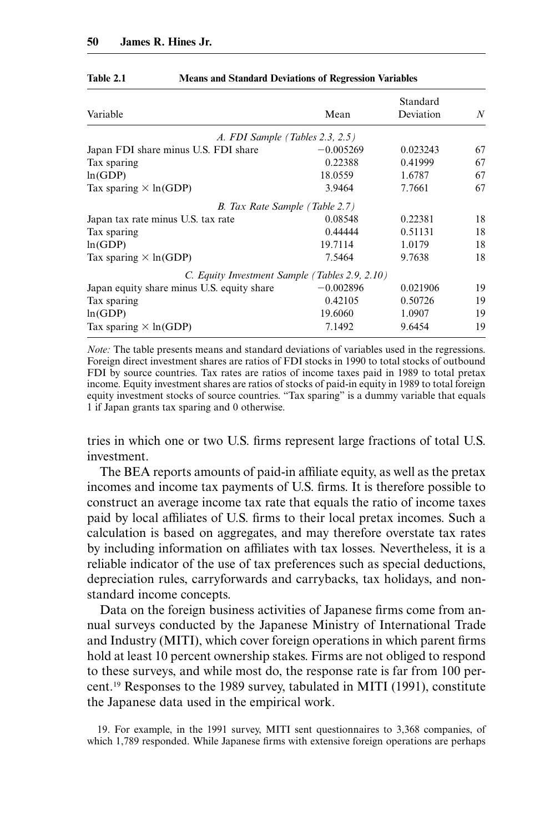|                                                |             | Standard  |    |
|------------------------------------------------|-------------|-----------|----|
| Variable                                       | Mean        | Deviation | N  |
| A. FDI Sample (Tables 2.3, 2.5)                |             |           |    |
| Japan FDI share minus U.S. FDI share           | $-0.005269$ | 0.023243  | 67 |
| Tax sparing                                    | 0.22388     | 0.41999   | 67 |
| ln(GDP)                                        | 18.0559     | 1.6787    | 67 |
| Tax sparing $\times$ ln(GDP)                   | 3.9464      | 7.7661    | 67 |
| <b>B.</b> Tax Rate Sample (Table 2.7)          |             |           |    |
| Japan tax rate minus U.S. tax rate             | 0.08548     | 0.22381   | 18 |
| Tax sparing                                    | 0.44444     | 0.51131   | 18 |
| ln(GDP)                                        | 19.7114     | 1.0179    | 18 |
| Tax sparing $\times$ ln(GDP)                   | 7.5464      | 9.7638    | 18 |
| C. Equity Investment Sample (Tables 2.9, 2.10) |             |           |    |
| Japan equity share minus U.S. equity share     | $-0.002896$ | 0.021906  | 19 |
| Tax sparing                                    | 0.42105     | 0.50726   | 19 |
| ln(GDP)                                        | 19.6060     | 1.0907    | 19 |
| Tax sparing $\times$ ln(GDP)                   | 7.1492      | 9.6454    | 19 |

#### **Table 2.1 Means and Standard Deviations of Regression Variables**

*Note:* The table presents means and standard deviations of variables used in the regressions. Foreign direct investment shares are ratios of FDI stocks in 1990 to total stocks of outbound FDI by source countries. Tax rates are ratios of income taxes paid in 1989 to total pretax income. Equity investment shares are ratios of stocks of paid-in equity in 1989 to total foreign equity investment stocks of source countries. "Tax sparing" is a dummy variable that equals 1 if Japan grants tax sparing and 0 otherwise.

tries in which one or two U.S. firms represent large fractions of total U.S. investment.

The BEA reports amounts of paid-in affiliate equity, as well as the pretax incomes and income tax payments of U.S. firms. It is therefore possible to construct an average income tax rate that equals the ratio of income taxes paid by local affiliates of U.S. firms to their local pretax incomes. Such a calculation is based on aggregates, and may therefore overstate tax rates by including information on affiliates with tax losses. Nevertheless, it is a reliable indicator of the use of tax preferences such as special deductions, depreciation rules, carryforwards and carrybacks, tax holidays, and nonstandard income concepts.

Data on the foreign business activities of Japanese firms come from annual surveys conducted by the Japanese Ministry of International Trade and Industry (MITI), which cover foreign operations in which parent firms hold at least 10 percent ownership stakes. Firms are not obliged to respond to these surveys, and while most do, the response rate is far from 100 percent.19 Responses to the 1989 survey, tabulated in MITI (1991), constitute the Japanese data used in the empirical work.

19. For example, in the 1991 survey, MITI sent questionnaires to 3,368 companies, of which 1,789 responded. While Japanese firms with extensive foreign operations are perhaps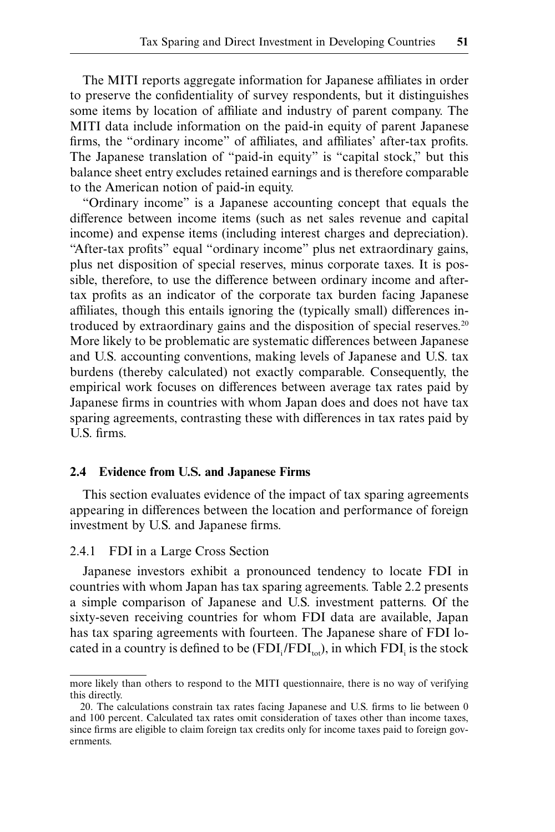The MITI reports aggregate information for Japanese affiliates in order to preserve the confidentiality of survey respondents, but it distinguishes some items by location of affiliate and industry of parent company. The MITI data include information on the paid-in equity of parent Japanese firms, the "ordinary income" of affiliates, and affiliates' after-tax profits. The Japanese translation of "paid-in equity" is "capital stock," but this balance sheet entry excludes retained earnings and is therefore comparable to the American notion of paid-in equity.

"Ordinary income" is a Japanese accounting concept that equals the difference between income items (such as net sales revenue and capital income) and expense items (including interest charges and depreciation). "After-tax profits" equal "ordinary income" plus net extraordinary gains, plus net disposition of special reserves, minus corporate taxes. It is possible, therefore, to use the difference between ordinary income and aftertax profits as an indicator of the corporate tax burden facing Japanese affiliates, though this entails ignoring the (typically small) differences introduced by extraordinary gains and the disposition of special reserves.<sup>20</sup> More likely to be problematic are systematic differences between Japanese and U.S. accounting conventions, making levels of Japanese and U.S. tax burdens (thereby calculated) not exactly comparable. Consequently, the empirical work focuses on differences between average tax rates paid by Japanese firms in countries with whom Japan does and does not have tax sparing agreements, contrasting these with differences in tax rates paid by U.S. firms.

#### **2.4 Evidence from U.S. and Japanese Firms**

This section evaluates evidence of the impact of tax sparing agreements appearing in differences between the location and performance of foreign investment by U.S. and Japanese firms.

#### 2.4.1 FDI in a Large Cross Section

Japanese investors exhibit a pronounced tendency to locate FDI in countries with whom Japan has tax sparing agreements. Table 2.2 presents a simple comparison of Japanese and U.S. investment patterns. Of the sixty-seven receiving countries for whom FDI data are available, Japan has tax sparing agreements with fourteen. The Japanese share of FDI located in a country is defined to be  $(FDI_i/FDI_{\text{tot}})$ , in which  $FDI_i$  is the stock

more likely than others to respond to the MITI questionnaire, there is no way of verifying this directly.

<sup>20.</sup> The calculations constrain tax rates facing Japanese and U.S. firms to lie between 0 and 100 percent. Calculated tax rates omit consideration of taxes other than income taxes, since firms are eligible to claim foreign tax credits only for income taxes paid to foreign governments.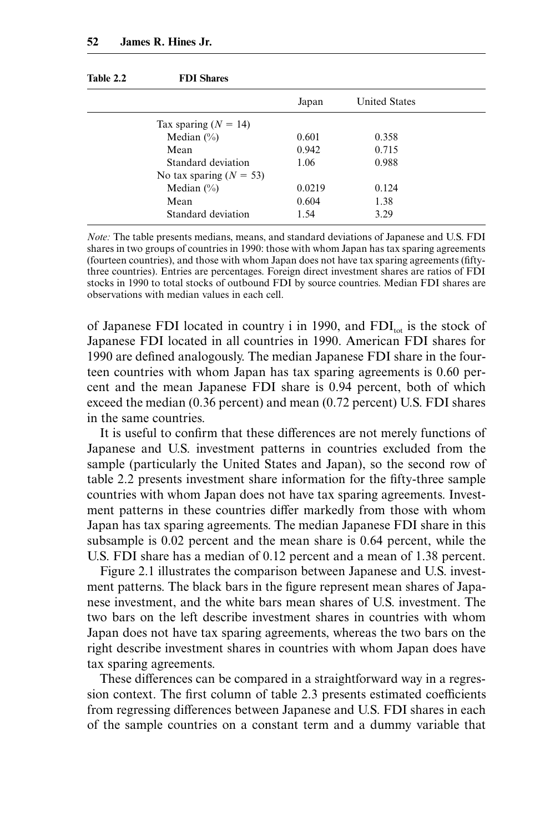|                           | Japan  | <b>United States</b> |  |
|---------------------------|--------|----------------------|--|
| Tax sparing $(N = 14)$    |        |                      |  |
| Median $(\% )$            | 0.601  | 0.358                |  |
| Mean                      | 0.942  | 0.715                |  |
| Standard deviation        | 1.06   | 0.988                |  |
| No tax sparing $(N = 53)$ |        |                      |  |
| Median $(\% )$            | 0.0219 | 0.124                |  |
| Mean                      | 0.604  | 1.38                 |  |
| Standard deviation        | 1.54   | 3.29                 |  |

#### **Table 2.2 FDI Shares**

*Note:* The table presents medians, means, and standard deviations of Japanese and U.S. FDI shares in two groups of countries in 1990: those with whom Japan has tax sparing agreements (fourteen countries), and those with whom Japan does not have tax sparing agreements (fiftythree countries). Entries are percentages. Foreign direct investment shares are ratios of FDI stocks in 1990 to total stocks of outbound FDI by source countries. Median FDI shares are observations with median values in each cell.

of Japanese FDI located in country i in 1990, and  $FDI<sub>tot</sub>$  is the stock of Japanese FDI located in all countries in 1990. American FDI shares for 1990 are defined analogously. The median Japanese FDI share in the fourteen countries with whom Japan has tax sparing agreements is 0.60 percent and the mean Japanese FDI share is 0.94 percent, both of which exceed the median (0.36 percent) and mean (0.72 percent) U.S. FDI shares in the same countries.

It is useful to confirm that these differences are not merely functions of Japanese and U.S. investment patterns in countries excluded from the sample (particularly the United States and Japan), so the second row of table 2.2 presents investment share information for the fifty-three sample countries with whom Japan does not have tax sparing agreements. Investment patterns in these countries differ markedly from those with whom Japan has tax sparing agreements. The median Japanese FDI share in this subsample is 0.02 percent and the mean share is 0.64 percent, while the U.S. FDI share has a median of 0.12 percent and a mean of 1.38 percent.

Figure 2.1 illustrates the comparison between Japanese and U.S. investment patterns. The black bars in the figure represent mean shares of Japanese investment, and the white bars mean shares of U.S. investment. The two bars on the left describe investment shares in countries with whom Japan does not have tax sparing agreements, whereas the two bars on the right describe investment shares in countries with whom Japan does have tax sparing agreements.

These differences can be compared in a straightforward way in a regression context. The first column of table 2.3 presents estimated coefficients from regressing differences between Japanese and U.S. FDI shares in each of the sample countries on a constant term and a dummy variable that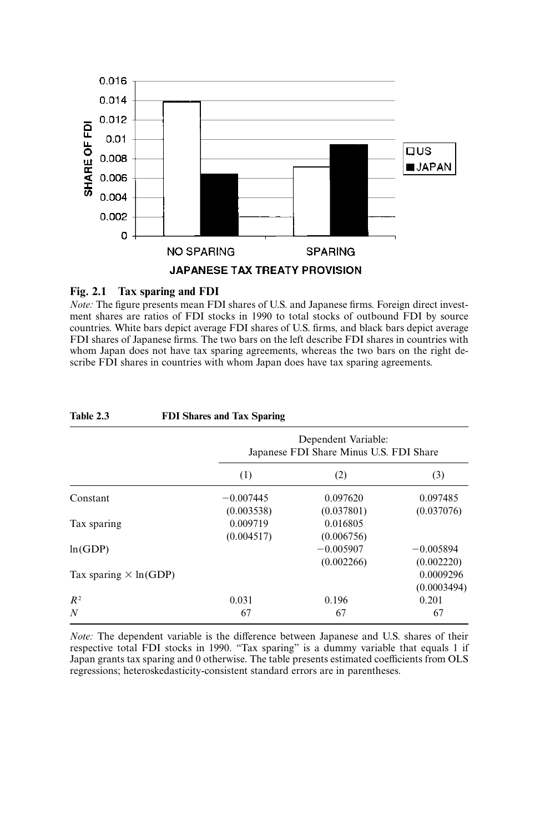

#### **Fig. 2.1 Tax sparing and FDI**

*Note:* The figure presents mean FDI shares of U.S. and Japanese firms. Foreign direct investment shares are ratios of FDI stocks in 1990 to total stocks of outbound FDI by source countries. White bars depict average FDI shares of U.S. firms, and black bars depict average FDI shares of Japanese firms. The two bars on the left describe FDI shares in countries with whom Japan does not have tax sparing agreements, whereas the two bars on the right describe FDI shares in countries with whom Japan does have tax sparing agreements.

| $140E$ 4.9                   | FDI Shares and Tax Sparing |                                                                |                           |
|------------------------------|----------------------------|----------------------------------------------------------------|---------------------------|
|                              |                            | Dependent Variable:<br>Japanese FDI Share Minus U.S. FDI Share |                           |
|                              | (1)                        | (2)                                                            | (3)                       |
| Constant                     | $-0.007445$<br>(0.003538)  | 0.097620<br>(0.037801)                                         | 0.097485<br>(0.037076)    |
| Tax sparing                  | 0.009719<br>(0.004517)     | 0.016805<br>(0.006756)                                         |                           |
| ln(GDP)                      |                            | $-0.005907$<br>(0.002266)                                      | $-0.005894$<br>(0.002220) |
| Tax sparing $\times$ ln(GDP) |                            |                                                                | 0.0009296<br>(0.0003494)  |
| $R^2$                        | 0.031                      | 0.196                                                          | 0.201                     |
| $\boldsymbol{N}$             | 67                         | 67                                                             | 67                        |

# **Table 2.3 FDI Shares and Tax Sparing**

*Note:* The dependent variable is the difference between Japanese and U.S. shares of their respective total FDI stocks in 1990. "Tax sparing" is a dummy variable that equals 1 if Japan grants tax sparing and 0 otherwise. The table presents estimated coefficients from OLS regressions; heteroskedasticity-consistent standard errors are in parentheses.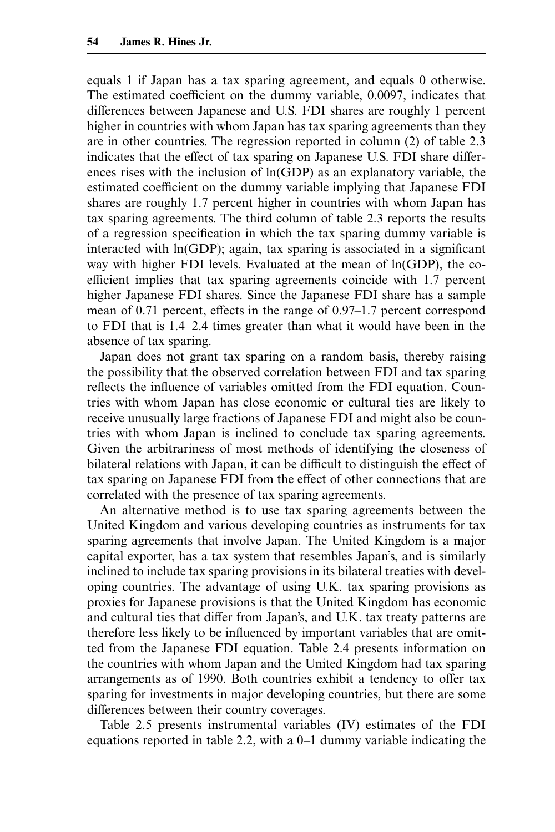equals 1 if Japan has a tax sparing agreement, and equals 0 otherwise. The estimated coefficient on the dummy variable, 0.0097, indicates that differences between Japanese and U.S. FDI shares are roughly 1 percent higher in countries with whom Japan has tax sparing agreements than they are in other countries. The regression reported in column (2) of table 2.3 indicates that the effect of tax sparing on Japanese U.S. FDI share differences rises with the inclusion of ln(GDP) as an explanatory variable, the estimated coefficient on the dummy variable implying that Japanese FDI shares are roughly 1.7 percent higher in countries with whom Japan has tax sparing agreements. The third column of table 2.3 reports the results of a regression specification in which the tax sparing dummy variable is interacted with ln(GDP); again, tax sparing is associated in a significant way with higher FDI levels. Evaluated at the mean of ln(GDP), the coefficient implies that tax sparing agreements coincide with 1.7 percent higher Japanese FDI shares. Since the Japanese FDI share has a sample mean of 0.71 percent, effects in the range of 0.97–1.7 percent correspond to FDI that is 1.4–2.4 times greater than what it would have been in the absence of tax sparing.

Japan does not grant tax sparing on a random basis, thereby raising the possibility that the observed correlation between FDI and tax sparing reflects the influence of variables omitted from the FDI equation. Countries with whom Japan has close economic or cultural ties are likely to receive unusually large fractions of Japanese FDI and might also be countries with whom Japan is inclined to conclude tax sparing agreements. Given the arbitrariness of most methods of identifying the closeness of bilateral relations with Japan, it can be difficult to distinguish the effect of tax sparing on Japanese FDI from the effect of other connections that are correlated with the presence of tax sparing agreements.

An alternative method is to use tax sparing agreements between the United Kingdom and various developing countries as instruments for tax sparing agreements that involve Japan. The United Kingdom is a major capital exporter, has a tax system that resembles Japan's, and is similarly inclined to include tax sparing provisions in its bilateral treaties with developing countries. The advantage of using U.K. tax sparing provisions as proxies for Japanese provisions is that the United Kingdom has economic and cultural ties that differ from Japan's, and U.K. tax treaty patterns are therefore less likely to be influenced by important variables that are omitted from the Japanese FDI equation. Table 2.4 presents information on the countries with whom Japan and the United Kingdom had tax sparing arrangements as of 1990. Both countries exhibit a tendency to offer tax sparing for investments in major developing countries, but there are some differences between their country coverages.

Table 2.5 presents instrumental variables (IV) estimates of the FDI equations reported in table 2.2, with a 0–1 dummy variable indicating the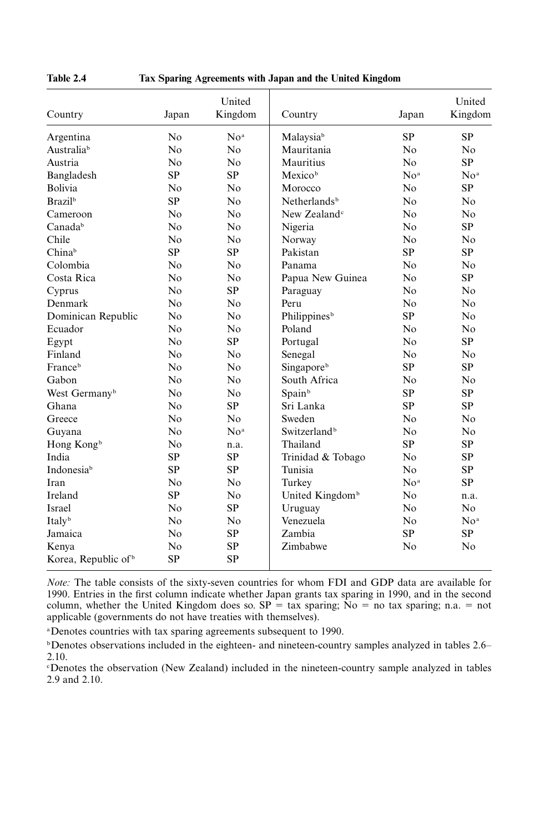| Country                         | Japan     | United<br>Kingdom | Country                     | Japan           | United<br>Kingdom |
|---------------------------------|-----------|-------------------|-----------------------------|-----------------|-------------------|
| Argentina                       | No        | No <sup>a</sup>   | Malaysiab                   | <b>SP</b>       | <b>SP</b>         |
| Australiab                      | No        | No                | Mauritania                  | No              | No                |
| Austria                         | No        | N <sub>o</sub>    | Mauritius                   | No              | SP                |
| Bangladesh                      | <b>SP</b> | <b>SP</b>         | Mexicob                     | No <sup>a</sup> | No <sup>a</sup>   |
| <b>Bolivia</b>                  | No        | N <sub>o</sub>    | Morocco                     | No              | SP                |
| <b>Brazil</b> <sup>b</sup>      | <b>SP</b> | N <sub>0</sub>    | Netherlands <sup>b</sup>    | No              | No                |
| Cameroon                        | No        | N <sub>o</sub>    | New Zealand <sup>c</sup>    | No              | No                |
| Canadab                         | No        | N <sub>o</sub>    | Nigeria                     | N <sub>o</sub>  | SP                |
| Chile                           | No        | N <sub>0</sub>    | Norway                      | No              | No                |
| Chinab                          | <b>SP</b> | <b>SP</b>         | Pakistan                    | <b>SP</b>       | SP                |
| Colombia                        | No        | No                | Panama                      | No              | No                |
| Costa Rica                      | No        | No                | Papua New Guinea            | No              | SP                |
| Cyprus                          | No        | <b>SP</b>         | Paraguay                    | No              | No                |
| Denmark                         | No        | No                | Peru                        | No              | N <sub>o</sub>    |
| Dominican Republic              | No        | N <sub>0</sub>    | Philippines <sup>b</sup>    | <b>SP</b>       | N <sub>0</sub>    |
| Ecuador                         | No        | No                | Poland                      | No              | N <sub>o</sub>    |
| Egypt                           | No        | <b>SP</b>         | Portugal                    | No              | SP                |
| Finland                         | No        | No                | Senegal                     | No              | N <sub>o</sub>    |
| Franceb                         | No        | N <sub>o</sub>    | Singaporeb                  | SP              | SP                |
| Gabon                           | No        | N <sub>o</sub>    | South Africa                | No              | No                |
| West Germany <sup>b</sup>       | No        | N <sub>o</sub>    | Spain <sup>b</sup>          | <b>SP</b>       | <b>SP</b>         |
| Ghana                           | No        | <b>SP</b>         | Sri Lanka                   | <b>SP</b>       | SP                |
| Greece                          | No        | N <sub>0</sub>    | Sweden                      | No              | No                |
| Guyana                          | No        | No <sup>a</sup>   | Switzerland <sup>b</sup>    | No              | N <sub>o</sub>    |
| Hong Kong <sup>b</sup>          | No        | n.a.              | Thailand                    | <b>SP</b>       | SP                |
| India                           | <b>SP</b> | <b>SP</b>         | Trinidad & Tobago           | No              | <b>SP</b>         |
| Indonesia <sup>b</sup>          | <b>SP</b> | <b>SP</b>         | Tunisia                     | No              | <b>SP</b>         |
| Iran                            | No        | N <sub>0</sub>    | Turkey                      | No <sup>a</sup> | <b>SP</b>         |
| Ireland                         | <b>SP</b> | N <sub>0</sub>    | United Kingdom <sup>b</sup> | No              | n.a.              |
| Israel                          | No        | <b>SP</b>         | Uruguay                     | No              | N <sub>o</sub>    |
| Italy <sup>b</sup>              | No        | No                | Venezuela                   | No              | No <sup>a</sup>   |
| Jamaica                         | No        | <b>SP</b>         | Zambia                      | <b>SP</b>       | <b>SP</b>         |
| Kenya                           | No        | <b>SP</b>         | Zimbabwe                    | No              | No                |
| Korea, Republic of <sup>b</sup> | <b>SP</b> | <b>SP</b>         |                             |                 |                   |

**Table 2.4 Tax Sparing Agreements with Japan and the United Kingdom**

*Note:* The table consists of the sixty-seven countries for whom FDI and GDP data are available for 1990. Entries in the first column indicate whether Japan grants tax sparing in 1990, and in the second column, whether the United Kingdom does so.  $SP = \text{tax}$  sparing; No = no tax sparing; n.a. = not applicable (governments do not have treaties with themselves).

aDenotes countries with tax sparing agreements subsequent to 1990.

**bDenotes observations included in the eighteen- and nineteen-country samples analyzed in tables 2.6–** 2.10.

c Denotes the observation (New Zealand) included in the nineteen-country sample analyzed in tables 2.9 and 2.10.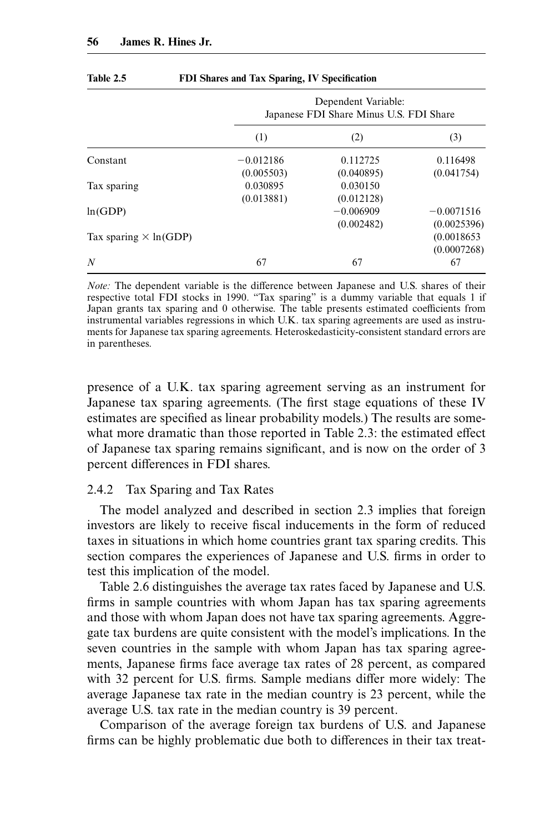|                              | Dependent Variable:<br>Japanese FDI Share Minus U.S. FDI Share |             |              |
|------------------------------|----------------------------------------------------------------|-------------|--------------|
|                              | (1)                                                            | (2)         | (3)          |
| Constant                     | $-0.012186$                                                    | 0.112725    | 0.116498     |
|                              | (0.005503)                                                     | (0.040895)  | (0.041754)   |
| Tax sparing                  | 0.030895                                                       | 0.030150    |              |
|                              | (0.013881)                                                     | (0.012128)  |              |
| ln(GDP)                      |                                                                | $-0.006909$ | $-0.0071516$ |
|                              |                                                                | (0.002482)  | (0.0025396)  |
| Tax sparing $\times$ ln(GDP) |                                                                |             | (0.0018653)  |
| N                            |                                                                |             | (0.0007268)  |
|                              | 67                                                             | 67          | 67           |

| <b>Table 2.5</b> |  |  | FDI Shares and Tax Sparing, IV Specification |
|------------------|--|--|----------------------------------------------|
|------------------|--|--|----------------------------------------------|

*Note:* The dependent variable is the difference between Japanese and U.S. shares of their respective total FDI stocks in 1990. "Tax sparing" is a dummy variable that equals 1 if Japan grants tax sparing and 0 otherwise. The table presents estimated coefficients from instrumental variables regressions in which U.K. tax sparing agreements are used as instruments for Japanese tax sparing agreements. Heteroskedasticity-consistent standard errors are in parentheses.

presence of a U.K. tax sparing agreement serving as an instrument for Japanese tax sparing agreements. (The first stage equations of these IV estimates are specified as linear probability models.) The results are somewhat more dramatic than those reported in Table 2.3: the estimated effect of Japanese tax sparing remains significant, and is now on the order of 3 percent differences in FDI shares.

#### 2.4.2 Tax Sparing and Tax Rates

The model analyzed and described in section 2.3 implies that foreign investors are likely to receive fiscal inducements in the form of reduced taxes in situations in which home countries grant tax sparing credits. This section compares the experiences of Japanese and U.S. firms in order to test this implication of the model.

Table 2.6 distinguishes the average tax rates faced by Japanese and U.S. firms in sample countries with whom Japan has tax sparing agreements and those with whom Japan does not have tax sparing agreements. Aggregate tax burdens are quite consistent with the model's implications. In the seven countries in the sample with whom Japan has tax sparing agreements, Japanese firms face average tax rates of 28 percent, as compared with 32 percent for U.S. firms. Sample medians differ more widely: The average Japanese tax rate in the median country is 23 percent, while the average U.S. tax rate in the median country is 39 percent.

Comparison of the average foreign tax burdens of U.S. and Japanese firms can be highly problematic due both to differences in their tax treat-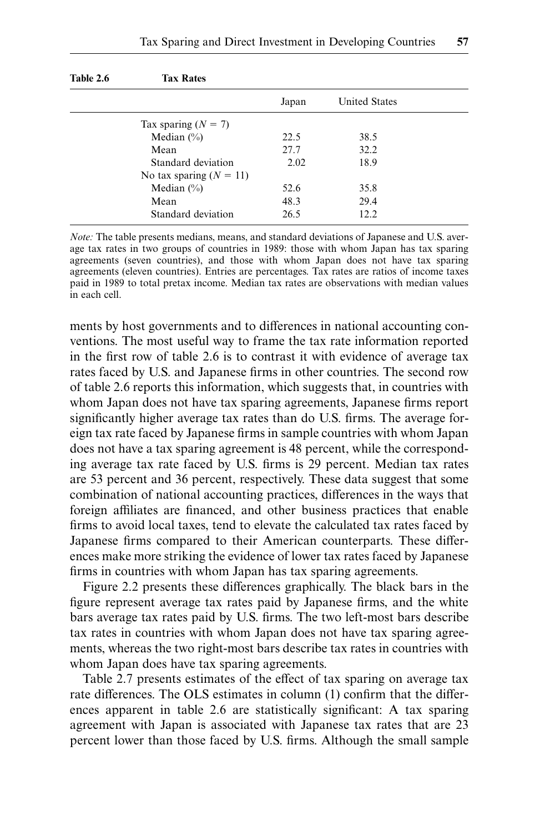| Table 2.0 | 14X KAtes                 |       |                      |  |
|-----------|---------------------------|-------|----------------------|--|
|           |                           | Japan | <b>United States</b> |  |
|           | Tax sparing $(N = 7)$     |       |                      |  |
|           | Median $(\% )$            | 22.5  | 38.5                 |  |
|           | Mean                      | 27.7  | 32.2                 |  |
|           | Standard deviation        | 2.02  | 18.9                 |  |
|           | No tax sparing $(N = 11)$ |       |                      |  |
|           | Median $(\% )$            | 52.6  | 35.8                 |  |
|           | Mean                      | 48.3  | 29.4                 |  |
|           | Standard deviation        | 26.5  | 12.2                 |  |
|           |                           |       |                      |  |

# Table 2.6 Tax **Pat**

*Note:* The table presents medians, means, and standard deviations of Japanese and U.S. average tax rates in two groups of countries in 1989: those with whom Japan has tax sparing agreements (seven countries), and those with whom Japan does not have tax sparing agreements (eleven countries). Entries are percentages. Tax rates are ratios of income taxes paid in 1989 to total pretax income. Median tax rates are observations with median values in each cell.

ments by host governments and to differences in national accounting conventions. The most useful way to frame the tax rate information reported in the first row of table 2.6 is to contrast it with evidence of average tax rates faced by U.S. and Japanese firms in other countries. The second row of table 2.6 reports this information, which suggests that, in countries with whom Japan does not have tax sparing agreements, Japanese firms report significantly higher average tax rates than do U.S. firms. The average foreign tax rate faced by Japanese firms in sample countries with whom Japan does not have a tax sparing agreement is 48 percent, while the corresponding average tax rate faced by U.S. firms is 29 percent. Median tax rates are 53 percent and 36 percent, respectively. These data suggest that some combination of national accounting practices, differences in the ways that foreign affiliates are financed, and other business practices that enable firms to avoid local taxes, tend to elevate the calculated tax rates faced by Japanese firms compared to their American counterparts. These differences make more striking the evidence of lower tax rates faced by Japanese firms in countries with whom Japan has tax sparing agreements.

Figure 2.2 presents these differences graphically. The black bars in the figure represent average tax rates paid by Japanese firms, and the white bars average tax rates paid by U.S. firms. The two left-most bars describe tax rates in countries with whom Japan does not have tax sparing agreements, whereas the two right-most bars describe tax rates in countries with whom Japan does have tax sparing agreements.

Table 2.7 presents estimates of the effect of tax sparing on average tax rate differences. The OLS estimates in column (1) confirm that the differences apparent in table 2.6 are statistically significant: A tax sparing agreement with Japan is associated with Japanese tax rates that are 23 percent lower than those faced by U.S. firms. Although the small sample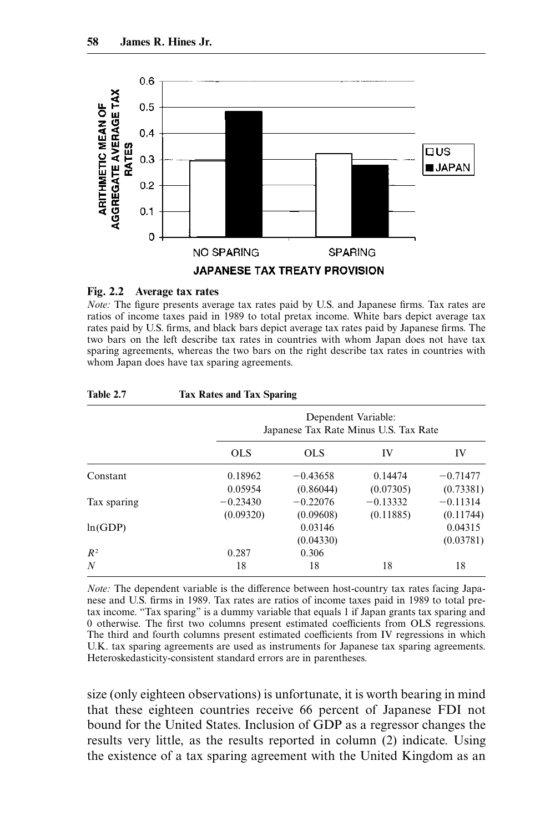

#### **Fig. 2.2 Average tax rates**

*Note:* The figure presents average tax rates paid by U.S. and Japanese firms. Tax rates are ratios of income taxes paid in 1989 to total pretax income. White bars depict average tax rates paid by U.S. firms, and black bars depict average tax rates paid by Japanese firms. The two bars on the left describe tax rates in countries with whom Japan does not have tax sparing agreements, whereas the two bars on the right describe tax rates in countries with whom Japan does have tax sparing agreements.

|             |            | Dependent Variable:<br>Japanese Tax Rate Minus U.S. Tax Rate |            |            |  |
|-------------|------------|--------------------------------------------------------------|------------|------------|--|
|             | <b>OLS</b> | OLS.                                                         | IV         | IV         |  |
| Constant    | 0.18962    | $-0.43658$                                                   | 0.14474    | $-0.71477$ |  |
|             | 0.05954    | (0.86044)                                                    | (0.07305)  | (0.73381)  |  |
| Tax sparing | $-0.23430$ | $-0.22076$                                                   | $-0.13332$ | $-0.11314$ |  |
|             | (0.09320)  | (0.09608)                                                    | (0.11885)  | (0.11744)  |  |
| ln(GDP)     |            | 0.03146                                                      |            | 0.04315    |  |
|             |            | (0.04330)                                                    |            | (0.03781)  |  |
| $R^2$       | 0.287      | 0.306                                                        |            |            |  |
| N           | 18         | 18                                                           | 18         | 18         |  |

#### **Table 2.7 Tax Rates and Tax Sparing**

*Note:* The dependent variable is the difference between host-country tax rates facing Japanese and U.S. firms in 1989. Tax rates are ratios of income taxes paid in 1989 to total pretax income. "Tax sparing" is a dummy variable that equals 1 if Japan grants tax sparing and 0 otherwise. The first two columns present estimated coefficients from OLS regressions. The third and fourth columns present estimated coefficients from IV regressions in which U.K. tax sparing agreements are used as instruments for Japanese tax sparing agreements. Heteroskedasticity-consistent standard errors are in parentheses.

size (only eighteen observations) is unfortunate, it is worth bearing in mind that these eighteen countries receive 66 percent of Japanese FDI not bound for the United States. Inclusion of GDP as a regressor changes the results very little, as the results reported in column (2) indicate. Using the existence of a tax sparing agreement with the United Kingdom as an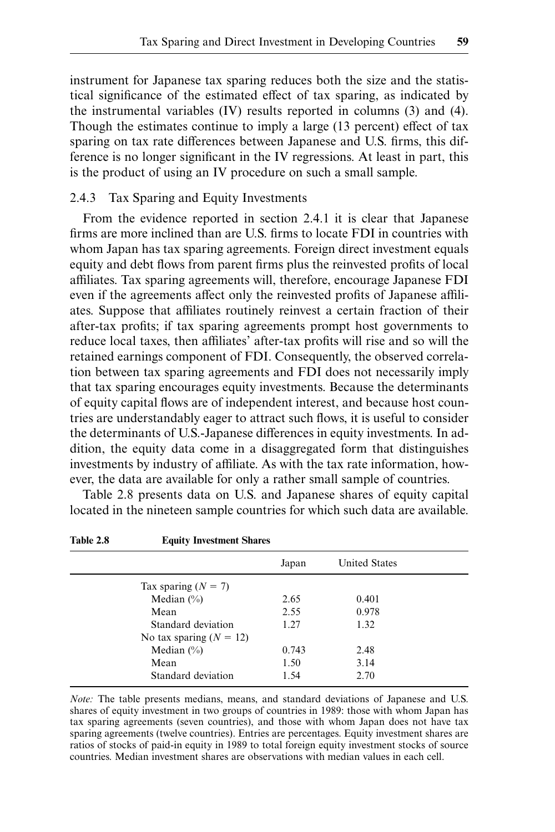instrument for Japanese tax sparing reduces both the size and the statistical significance of the estimated effect of tax sparing, as indicated by the instrumental variables (IV) results reported in columns (3) and (4). Though the estimates continue to imply a large (13 percent) effect of tax sparing on tax rate differences between Japanese and U.S. firms, this difference is no longer significant in the IV regressions. At least in part, this is the product of using an IV procedure on such a small sample.

# 2.4.3 Tax Sparing and Equity Investments

**Table 2.8 Equity Investment Shares**

From the evidence reported in section 2.4.1 it is clear that Japanese firms are more inclined than are U.S. firms to locate FDI in countries with whom Japan has tax sparing agreements. Foreign direct investment equals equity and debt flows from parent firms plus the reinvested profits of local affiliates. Tax sparing agreements will, therefore, encourage Japanese FDI even if the agreements affect only the reinvested profits of Japanese affiliates. Suppose that affiliates routinely reinvest a certain fraction of their after-tax profits; if tax sparing agreements prompt host governments to reduce local taxes, then affiliates' after-tax profits will rise and so will the retained earnings component of FDI. Consequently, the observed correlation between tax sparing agreements and FDI does not necessarily imply that tax sparing encourages equity investments. Because the determinants of equity capital flows are of independent interest, and because host countries are understandably eager to attract such flows, it is useful to consider the determinants of U.S.-Japanese differences in equity investments. In addition, the equity data come in a disaggregated form that distinguishes investments by industry of affiliate. As with the tax rate information, however, the data are available for only a rather small sample of countries.

Table 2.8 presents data on U.S. and Japanese shares of equity capital located in the nineteen sample countries for which such data are available.

| Tavit 4.0 | вдину нихмикин энагез     |       |                      |  |
|-----------|---------------------------|-------|----------------------|--|
|           |                           | Japan | <b>United States</b> |  |
|           | Tax sparing $(N = 7)$     |       |                      |  |
|           | Median $(\% )$            | 2.65  | 0.401                |  |
|           | Mean                      | 2.55  | 0.978                |  |
|           | Standard deviation        | 1.27  | 1.32                 |  |
|           | No tax sparing $(N = 12)$ |       |                      |  |
|           | Median $(\% )$            | 0.743 | 2.48                 |  |
|           | Mean                      | 1.50  | 3.14                 |  |
|           | Standard deviation        | 1.54  | 2.70                 |  |
|           |                           |       |                      |  |

*Note:* The table presents medians, means, and standard deviations of Japanese and U.S. shares of equity investment in two groups of countries in 1989: those with whom Japan has tax sparing agreements (seven countries), and those with whom Japan does not have tax sparing agreements (twelve countries). Entries are percentages. Equity investment shares are ratios of stocks of paid-in equity in 1989 to total foreign equity investment stocks of source countries. Median investment shares are observations with median values in each cell.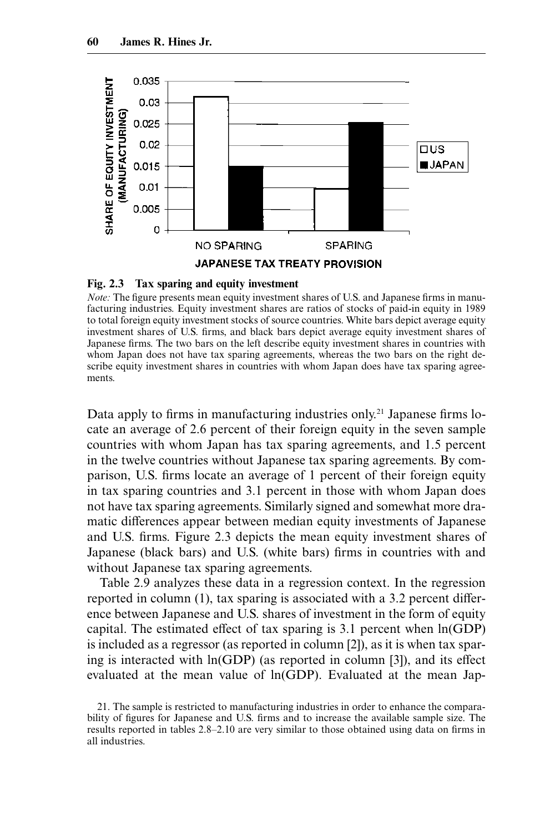

#### **Fig. 2.3 Tax sparing and equity investment**

*Note:* The figure presents mean equity investment shares of U.S. and Japanese firms in manufacturing industries. Equity investment shares are ratios of stocks of paid-in equity in 1989 to total foreign equity investment stocks of source countries. White bars depict average equity investment shares of U.S. firms, and black bars depict average equity investment shares of Japanese firms. The two bars on the left describe equity investment shares in countries with whom Japan does not have tax sparing agreements, whereas the two bars on the right describe equity investment shares in countries with whom Japan does have tax sparing agreements.

Data apply to firms in manufacturing industries only.<sup>21</sup> Japanese firms locate an average of 2.6 percent of their foreign equity in the seven sample countries with whom Japan has tax sparing agreements, and 1.5 percent in the twelve countries without Japanese tax sparing agreements. By comparison, U.S. firms locate an average of 1 percent of their foreign equity in tax sparing countries and 3.1 percent in those with whom Japan does not have tax sparing agreements. Similarly signed and somewhat more dramatic differences appear between median equity investments of Japanese and U.S. firms. Figure 2.3 depicts the mean equity investment shares of Japanese (black bars) and U.S. (white bars) firms in countries with and without Japanese tax sparing agreements.

Table 2.9 analyzes these data in a regression context. In the regression reported in column (1), tax sparing is associated with a 3.2 percent difference between Japanese and U.S. shares of investment in the form of equity capital. The estimated effect of tax sparing is 3.1 percent when ln(GDP) is included as a regressor (as reported in column [2]), as it is when tax sparing is interacted with ln(GDP) (as reported in column [3]), and its effect evaluated at the mean value of ln(GDP). Evaluated at the mean Jap-

<sup>21.</sup> The sample is restricted to manufacturing industries in order to enhance the comparability of figures for Japanese and U.S. firms and to increase the available sample size. The results reported in tables 2.8–2.10 are very similar to those obtained using data on firms in all industries.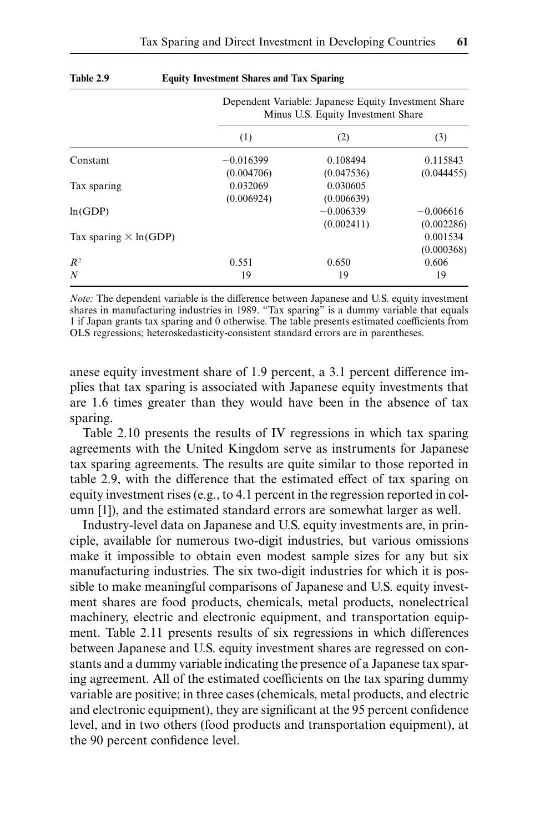|                              | Dependent Variable: Japanese Equity Investment Share<br>Minus U.S. Equity Investment Share |             |             |  |
|------------------------------|--------------------------------------------------------------------------------------------|-------------|-------------|--|
|                              | (1)                                                                                        | (2)         | (3)         |  |
| Constant                     | $-0.016399$                                                                                | 0.108494    | 0.115843    |  |
|                              | (0.004706)                                                                                 | (0.047536)  | (0.044455)  |  |
| Tax sparing                  | 0.032069                                                                                   | 0.030605    |             |  |
|                              | (0.006924)                                                                                 | (0.006639)  |             |  |
| ln(GDP)                      |                                                                                            | $-0.006339$ | $-0.006616$ |  |
|                              |                                                                                            | (0.002411)  | (0.002286)  |  |
| Tax sparing $\times$ ln(GDP) |                                                                                            |             | 0.001534    |  |
|                              |                                                                                            |             | (0.000368)  |  |
| $R^2$                        | 0.551                                                                                      | 0.650       | 0.606       |  |
| N                            | 19                                                                                         | 19          | 19          |  |

**Table 2.9 Equity Investment Shares and Tax Sparing**

#### *Note:* The dependent variable is the difference between Japanese and U.S. equity investment shares in manufacturing industries in 1989. "Tax sparing" is a dummy variable that equals 1 if Japan grants tax sparing and 0 otherwise. The table presents estimated coefficients from OLS regressions; heteroskedasticity-consistent standard errors are in parentheses.

anese equity investment share of 1.9 percent, a 3.1 percent difference implies that tax sparing is associated with Japanese equity investments that are 1.6 times greater than they would have been in the absence of tax sparing.

Table 2.10 presents the results of IV regressions in which tax sparing agreements with the United Kingdom serve as instruments for Japanese tax sparing agreements. The results are quite similar to those reported in table 2.9, with the difference that the estimated effect of tax sparing on equity investment rises (e.g., to 4.1 percent in the regression reported in column [1]), and the estimated standard errors are somewhat larger as well.

Industry-level data on Japanese and U.S. equity investments are, in principle, available for numerous two-digit industries, but various omissions make it impossible to obtain even modest sample sizes for any but six manufacturing industries. The six two-digit industries for which it is possible to make meaningful comparisons of Japanese and U.S. equity investment shares are food products, chemicals, metal products, nonelectrical machinery, electric and electronic equipment, and transportation equipment. Table 2.11 presents results of six regressions in which differences between Japanese and U.S. equity investment shares are regressed on constants and a dummy variable indicating the presence of a Japanese tax sparing agreement. All of the estimated coefficients on the tax sparing dummy variable are positive; in three cases (chemicals, metal products, and electric and electronic equipment), they are significant at the 95 percent confidence level, and in two others (food products and transportation equipment), at the 90 percent confidence level.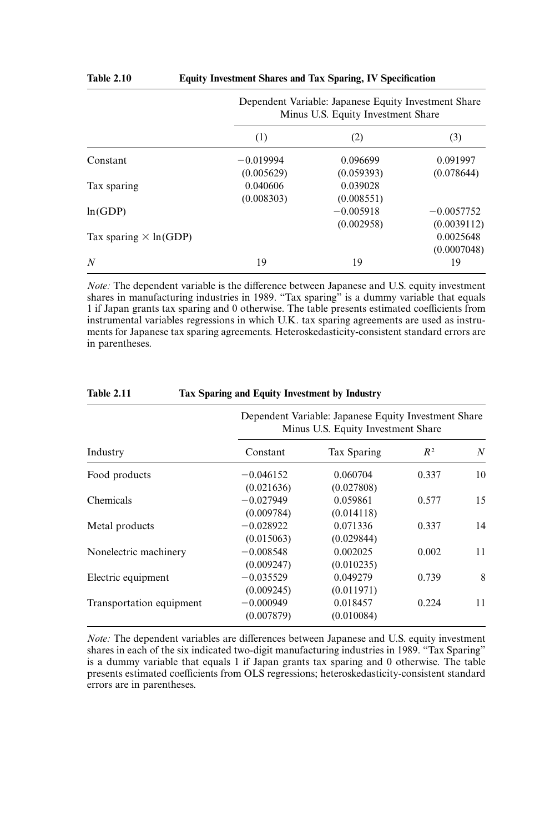|                              | $=$ que, $\ldots$ occurent same to may run sparing, respectivement                         |             |              |  |
|------------------------------|--------------------------------------------------------------------------------------------|-------------|--------------|--|
|                              | Dependent Variable: Japanese Equity Investment Share<br>Minus U.S. Equity Investment Share |             |              |  |
|                              | (1)                                                                                        | (2)         | (3)          |  |
| Constant                     | $-0.019994$                                                                                | 0.096699    | 0.091997     |  |
|                              | (0.005629)                                                                                 | (0.059393)  | (0.078644)   |  |
| Tax sparing                  | 0.040606                                                                                   | 0.039028    |              |  |
|                              | (0.008303)                                                                                 | (0.008551)  |              |  |
| ln(GDP)                      |                                                                                            | $-0.005918$ | $-0.0057752$ |  |
|                              |                                                                                            | (0.002958)  | (0.0039112)  |  |
| Tax sparing $\times$ ln(GDP) |                                                                                            |             | 0.0025648    |  |
|                              |                                                                                            |             | (0.0007048)  |  |
| $\boldsymbol{N}$             | 19                                                                                         | 19          | 19           |  |

**Table 2.10 Equity Investment Shares and Tax Sparing, IV Specification**

*Note:* The dependent variable is the difference between Japanese and U.S. equity investment shares in manufacturing industries in 1989. "Tax sparing" is a dummy variable that equals 1 if Japan grants tax sparing and 0 otherwise. The table presents estimated coefficients from instrumental variables regressions in which U.K. tax sparing agreements are used as instruments for Japanese tax sparing agreements. Heteroskedasticity-consistent standard errors are in parentheses.

| Industry                 | Dependent Variable: Japanese Equity Investment Share<br>Minus U.S. Equity Investment Share |                        |       |    |  |
|--------------------------|--------------------------------------------------------------------------------------------|------------------------|-------|----|--|
|                          | Constant                                                                                   | Tax Sparing            | $R^2$ | N  |  |
| Food products            | $-0.046152$<br>(0.021636)                                                                  | 0.060704<br>(0.027808) | 0.337 | 10 |  |
| Chemicals                | $-0.027949$<br>(0.009784)                                                                  | 0.059861<br>(0.014118) | 0.577 | 15 |  |
| Metal products           | $-0.028922$<br>(0.015063)                                                                  | 0.071336<br>(0.029844) | 0.337 | 14 |  |
| Nonelectric machinery    | $-0.008548$<br>(0.009247)                                                                  | 0.002025<br>(0.010235) | 0.002 | 11 |  |
| Electric equipment       | $-0.035529$<br>(0.009245)                                                                  | 0.049279<br>(0.011971) | 0.739 | 8  |  |
| Transportation equipment | $-0.000949$<br>(0.007879)                                                                  | 0.018457<br>(0.010084) | 0.224 | 11 |  |

#### **Table 2.11 Tax Sparing and Equity Investment by Industry**

*Note:* The dependent variables are differences between Japanese and U.S. equity investment shares in each of the six indicated two-digit manufacturing industries in 1989. "Tax Sparing" is a dummy variable that equals 1 if Japan grants tax sparing and 0 otherwise. The table presents estimated coefficients from OLS regressions; heteroskedasticity-consistent standard errors are in parentheses.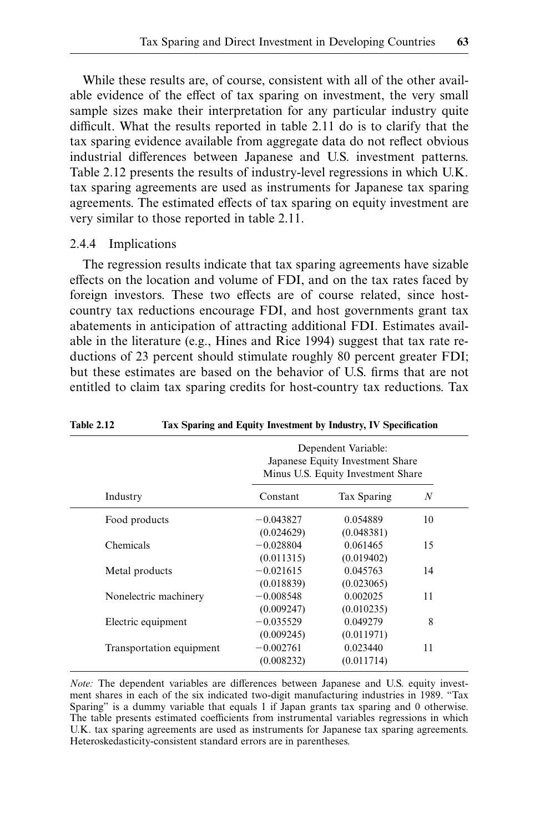While these results are, of course, consistent with all of the other available evidence of the effect of tax sparing on investment, the very small sample sizes make their interpretation for any particular industry quite difficult. What the results reported in table 2.11 do is to clarify that the tax sparing evidence available from aggregate data do not reflect obvious industrial differences between Japanese and U.S. investment patterns. Table 2.12 presents the results of industry-level regressions in which U.K. tax sparing agreements are used as instruments for Japanese tax sparing agreements. The estimated effects of tax sparing on equity investment are very similar to those reported in table 2.11.

# 2.4.4 Implications

The regression results indicate that tax sparing agreements have sizable effects on the location and volume of FDI, and on the tax rates faced by foreign investors. These two effects are of course related, since hostcountry tax reductions encourage FDI, and host governments grant tax abatements in anticipation of attracting additional FDI. Estimates available in the literature (e.g., Hines and Rice 1994) suggest that tax rate reductions of 23 percent should stimulate roughly 80 percent greater FDI; but these estimates are based on the behavior of U.S. firms that are not entitled to claim tax sparing credits for host-country tax reductions. Tax

| Industry                 | Dependent Variable:<br>Japanese Equity Investment Share<br>Minus U.S. Equity Investment Share |             |    |
|--------------------------|-----------------------------------------------------------------------------------------------|-------------|----|
|                          | Constant                                                                                      | Tax Sparing | N  |
| Food products            | $-0.043827$                                                                                   | 0.054889    | 10 |
|                          | (0.024629)                                                                                    | (0.048381)  |    |
| Chemicals                | $-0.028804$                                                                                   | 0.061465    | 15 |
|                          | (0.011315)                                                                                    | (0.019402)  |    |
| Metal products           | $-0.021615$                                                                                   | 0.045763    | 14 |
|                          | (0.018839)                                                                                    | (0.023065)  |    |
| Nonelectric machinery    | $-0.008548$                                                                                   | 0.002025    | 11 |
|                          | (0.009247)                                                                                    | (0.010235)  |    |
| Electric equipment       | $-0.035529$                                                                                   | 0.049279    | 8  |
|                          | (0.009245)                                                                                    | (0.011971)  |    |
| Transportation equipment | $-0.002761$                                                                                   | 0.023440    | 11 |
|                          | (0.008232)                                                                                    | (0.011714)  |    |

**Table 2.12 Tax Sparing and Equity Investment by Industry, IV Specification**

*Note:* The dependent variables are differences between Japanese and U.S. equity investment shares in each of the six indicated two-digit manufacturing industries in 1989. "Tax Sparing" is a dummy variable that equals 1 if Japan grants tax sparing and 0 otherwise. The table presents estimated coefficients from instrumental variables regressions in which U.K. tax sparing agreements are used as instruments for Japanese tax sparing agreements. Heteroskedasticity-consistent standard errors are in parentheses.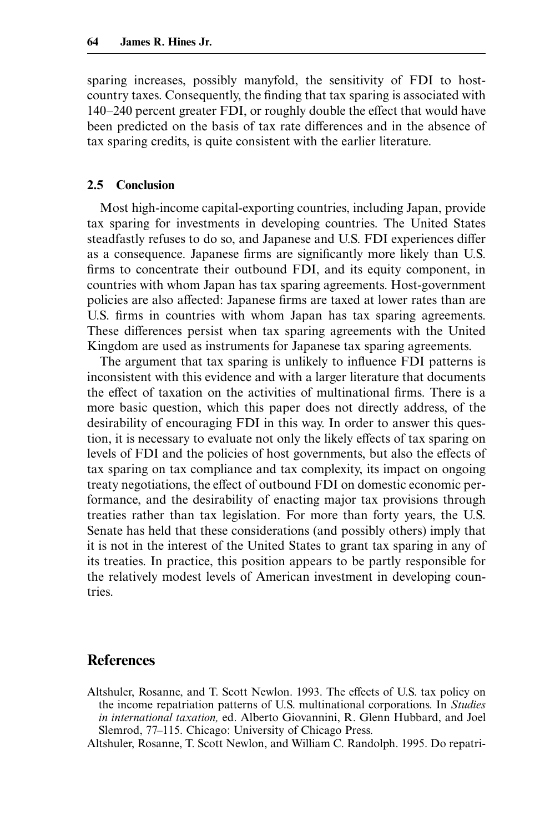sparing increases, possibly manyfold, the sensitivity of FDI to hostcountry taxes. Consequently, the finding that tax sparing is associated with 140–240 percent greater FDI, or roughly double the effect that would have been predicted on the basis of tax rate differences and in the absence of tax sparing credits, is quite consistent with the earlier literature.

# **2.5 Conclusion**

Most high-income capital-exporting countries, including Japan, provide tax sparing for investments in developing countries. The United States steadfastly refuses to do so, and Japanese and U.S. FDI experiences differ as a consequence. Japanese firms are significantly more likely than U.S. firms to concentrate their outbound FDI, and its equity component, in countries with whom Japan has tax sparing agreements. Host-government policies are also affected: Japanese firms are taxed at lower rates than are U.S. firms in countries with whom Japan has tax sparing agreements. These differences persist when tax sparing agreements with the United Kingdom are used as instruments for Japanese tax sparing agreements.

The argument that tax sparing is unlikely to influence FDI patterns is inconsistent with this evidence and with a larger literature that documents the effect of taxation on the activities of multinational firms. There is a more basic question, which this paper does not directly address, of the desirability of encouraging FDI in this way. In order to answer this question, it is necessary to evaluate not only the likely effects of tax sparing on levels of FDI and the policies of host governments, but also the effects of tax sparing on tax compliance and tax complexity, its impact on ongoing treaty negotiations, the effect of outbound FDI on domestic economic performance, and the desirability of enacting major tax provisions through treaties rather than tax legislation. For more than forty years, the U.S. Senate has held that these considerations (and possibly others) imply that it is not in the interest of the United States to grant tax sparing in any of its treaties. In practice, this position appears to be partly responsible for the relatively modest levels of American investment in developing countries.

# **References**

Altshuler, Rosanne, and T. Scott Newlon. 1993. The effects of U.S. tax policy on the income repatriation patterns of U.S. multinational corporations. In *Studies in international taxation,* ed. Alberto Giovannini, R. Glenn Hubbard, and Joel Slemrod, 77–115. Chicago: University of Chicago Press.

Altshuler, Rosanne, T. Scott Newlon, and William C. Randolph. 1995. Do repatri-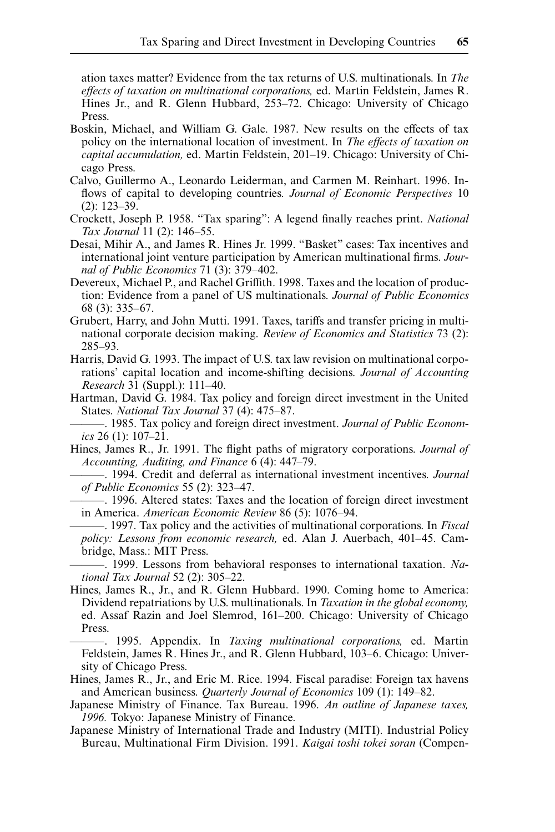ation taxes matter? Evidence from the tax returns of U.S. multinationals. In *The effects of taxation on multinational corporations,* ed. Martin Feldstein, James R. Hines Jr., and R. Glenn Hubbard, 253–72. Chicago: University of Chicago Press.

- Boskin, Michael, and William G. Gale. 1987. New results on the effects of tax policy on the international location of investment. In *The effects of taxation on capital accumulation,* ed. Martin Feldstein, 201–19. Chicago: University of Chicago Press.
- Calvo, Guillermo A., Leonardo Leiderman, and Carmen M. Reinhart. 1996. Inflows of capital to developing countries. *Journal of Economic Perspectives* 10 (2): 123–39.
- Crockett, Joseph P. 1958. "Tax sparing": A legend finally reaches print. *National Tax Journal* 11 (2): 146–55.
- Desai, Mihir A., and James R. Hines Jr. 1999. "Basket" cases: Tax incentives and international joint venture participation by American multinational firms. *Journal of Public Economics* 71 (3): 379–402.
- Devereux, Michael P., and Rachel Griffith. 1998. Taxes and the location of production: Evidence from a panel of US multinationals. *Journal of Public Economics* 68 (3): 335–67.
- Grubert, Harry, and John Mutti. 1991. Taxes, tariffs and transfer pricing in multinational corporate decision making. *Review of Economics and Statistics* 73 (2): 285–93.
- Harris, David G. 1993. The impact of U.S. tax law revision on multinational corporations' capital location and income-shifting decisions. *Journal of Accounting Research* 31 (Suppl.): 111–40.
- Hartman, David G. 1984. Tax policy and foreign direct investment in the United States. *National Tax Journal* 37 (4): 475–87.

 $-$ . 1985. Tax policy and foreign direct investment. *Journal of Public Economics* 26 (1): 107–21.

Hines, James R., Jr. 1991. The flight paths of migratory corporations. *Journal of Accounting, Auditing, and Finance* 6 (4): 447–79.

———. 1994. Credit and deferral as international investment incentives. *Journal of Public Economics* 55 (2): 323–47.

———. 1996. Altered states: Taxes and the location of foreign direct investment in America. *American Economic Review* 86 (5): 1076–94.

———. 1997. Tax policy and the activities of multinational corporations. In *Fiscal policy: Lessons from economic research,* ed. Alan J. Auerbach, 401–45. Cambridge, Mass.: MIT Press.

———. 1999. Lessons from behavioral responses to international taxation. *National Tax Journal* 52 (2): 305–22.

Hines, James R., Jr., and R. Glenn Hubbard. 1990. Coming home to America: Dividend repatriations by U.S. multinationals. In *Taxation in the global economy,* ed. Assaf Razin and Joel Slemrod, 161–200. Chicago: University of Chicago Press.

———. 1995. Appendix. In *Taxing multinational corporations,* ed. Martin Feldstein, James R. Hines Jr., and R. Glenn Hubbard, 103–6. Chicago: University of Chicago Press.

- Hines, James R., Jr., and Eric M. Rice. 1994. Fiscal paradise: Foreign tax havens and American business. *Quarterly Journal of Economics* 109 (1): 149–82.
- Japanese Ministry of Finance. Tax Bureau. 1996. *An outline of Japanese taxes, 1996.* Tokyo: Japanese Ministry of Finance.
- Japanese Ministry of International Trade and Industry (MITI). Industrial Policy Bureau, Multinational Firm Division. 1991. *Kaigai toshi tokei soran* (Compen-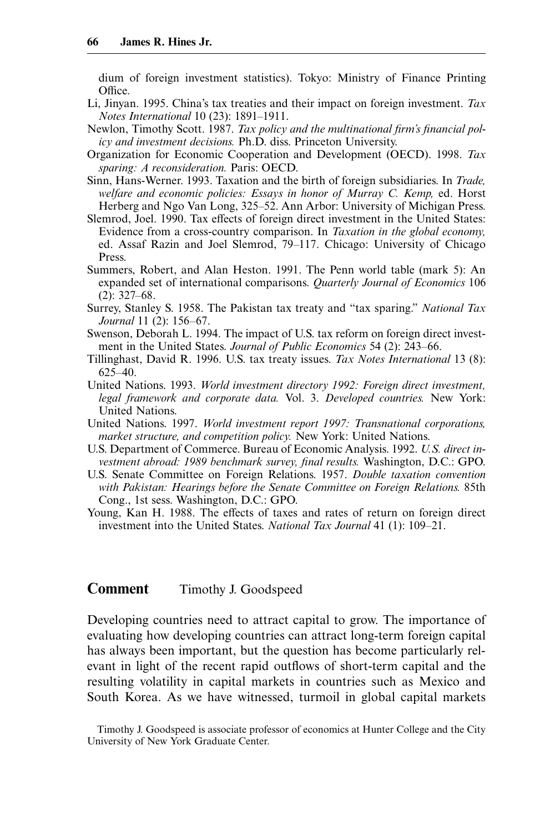dium of foreign investment statistics). Tokyo: Ministry of Finance Printing Office.

- Li, Jinyan. 1995. China's tax treaties and their impact on foreign investment. *Tax Notes International* 10 (23): 1891–1911.
- Newlon, Timothy Scott. 1987. *Tax policy and the multinational firm's financial policy and investment decisions.* Ph.D. diss. Princeton University.
- Organization for Economic Cooperation and Development (OECD). 1998. *Tax sparing: A reconsideration.* Paris: OECD.
- Sinn, Hans-Werner. 1993. Taxation and the birth of foreign subsidiaries. In *Trade, welfare and economic policies: Essays in honor of Murray C. Kemp,* ed. Horst Herberg and Ngo Van Long, 325–52. Ann Arbor: University of Michigan Press.
- Slemrod, Joel. 1990. Tax effects of foreign direct investment in the United States: Evidence from a cross-country comparison. In *Taxation in the global economy,* ed. Assaf Razin and Joel Slemrod, 79–117. Chicago: University of Chicago Press.
- Summers, Robert, and Alan Heston. 1991. The Penn world table (mark 5): An expanded set of international comparisons. *Quarterly Journal of Economics* 106 (2): 327–68.
- Surrey, Stanley S. 1958. The Pakistan tax treaty and "tax sparing." *National Tax Journal* 11 (2): 156–67.
- Swenson, Deborah L. 1994. The impact of U.S. tax reform on foreign direct investment in the United States. *Journal of Public Economics* 54 (2): 243–66.
- Tillinghast, David R. 1996. U.S. tax treaty issues. *Tax Notes International* 13 (8):  $625 - 40$ .
- United Nations. 1993. *World investment directory 1992: Foreign direct investment, legal framework and corporate data.* Vol. 3. *Developed countries.* New York: United Nations.
- United Nations. 1997. *World investment report 1997: Transnational corporations, market structure, and competition policy.* New York: United Nations.
- U.S. Department of Commerce. Bureau of Economic Analysis. 1992. *U.S. direct investment abroad: 1989 benchmark survey, final results.* Washington, D.C.: GPO.
- U.S. Senate Committee on Foreign Relations. 1957. *Double taxation convention with Pakistan: Hearings before the Senate Committee on Foreign Relations.* 85th Cong., 1st sess. Washington, D.C.: GPO.
- Young, Kan H. 1988. The effects of taxes and rates of return on foreign direct investment into the United States. *National Tax Journal* 41 (1): 109–21.

# **Comment** Timothy J. Goodspeed

Developing countries need to attract capital to grow. The importance of evaluating how developing countries can attract long-term foreign capital has always been important, but the question has become particularly relevant in light of the recent rapid outflows of short-term capital and the resulting volatility in capital markets in countries such as Mexico and South Korea. As we have witnessed, turmoil in global capital markets

Timothy J. Goodspeed is associate professor of economics at Hunter College and the City University of New York Graduate Center.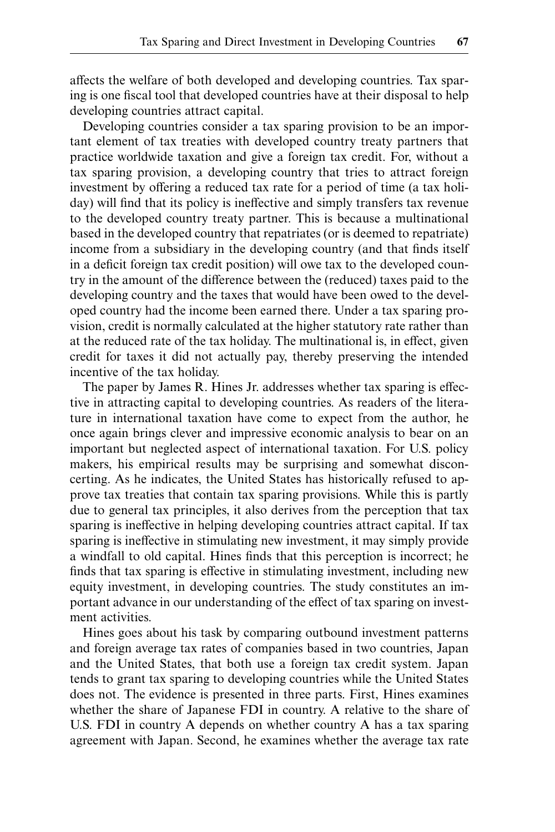affects the welfare of both developed and developing countries. Tax sparing is one fiscal tool that developed countries have at their disposal to help developing countries attract capital.

Developing countries consider a tax sparing provision to be an important element of tax treaties with developed country treaty partners that practice worldwide taxation and give a foreign tax credit. For, without a tax sparing provision, a developing country that tries to attract foreign investment by offering a reduced tax rate for a period of time (a tax holiday) will find that its policy is ineffective and simply transfers tax revenue to the developed country treaty partner. This is because a multinational based in the developed country that repatriates (or is deemed to repatriate) income from a subsidiary in the developing country (and that finds itself in a deficit foreign tax credit position) will owe tax to the developed country in the amount of the difference between the (reduced) taxes paid to the developing country and the taxes that would have been owed to the developed country had the income been earned there. Under a tax sparing provision, credit is normally calculated at the higher statutory rate rather than at the reduced rate of the tax holiday. The multinational is, in effect, given credit for taxes it did not actually pay, thereby preserving the intended incentive of the tax holiday.

The paper by James R. Hines Jr. addresses whether tax sparing is effective in attracting capital to developing countries. As readers of the literature in international taxation have come to expect from the author, he once again brings clever and impressive economic analysis to bear on an important but neglected aspect of international taxation. For U.S. policy makers, his empirical results may be surprising and somewhat disconcerting. As he indicates, the United States has historically refused to approve tax treaties that contain tax sparing provisions. While this is partly due to general tax principles, it also derives from the perception that tax sparing is ineffective in helping developing countries attract capital. If tax sparing is ineffective in stimulating new investment, it may simply provide a windfall to old capital. Hines finds that this perception is incorrect; he finds that tax sparing is effective in stimulating investment, including new equity investment, in developing countries. The study constitutes an important advance in our understanding of the effect of tax sparing on investment activities.

Hines goes about his task by comparing outbound investment patterns and foreign average tax rates of companies based in two countries, Japan and the United States, that both use a foreign tax credit system. Japan tends to grant tax sparing to developing countries while the United States does not. The evidence is presented in three parts. First, Hines examines whether the share of Japanese FDI in country. A relative to the share of U.S. FDI in country A depends on whether country A has a tax sparing agreement with Japan. Second, he examines whether the average tax rate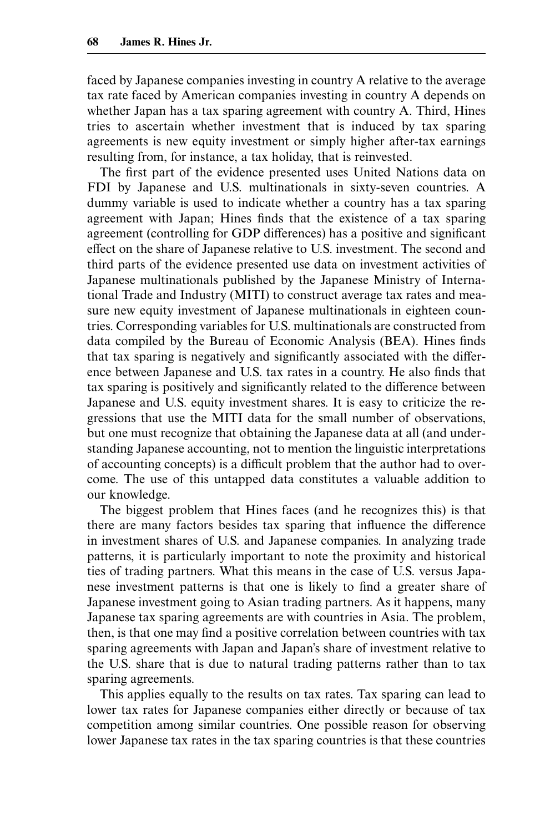faced by Japanese companies investing in country A relative to the average tax rate faced by American companies investing in country A depends on whether Japan has a tax sparing agreement with country A. Third, Hines tries to ascertain whether investment that is induced by tax sparing agreements is new equity investment or simply higher after-tax earnings resulting from, for instance, a tax holiday, that is reinvested.

The first part of the evidence presented uses United Nations data on FDI by Japanese and U.S. multinationals in sixty-seven countries. A dummy variable is used to indicate whether a country has a tax sparing agreement with Japan; Hines finds that the existence of a tax sparing agreement (controlling for GDP differences) has a positive and significant effect on the share of Japanese relative to U.S. investment. The second and third parts of the evidence presented use data on investment activities of Japanese multinationals published by the Japanese Ministry of International Trade and Industry (MITI) to construct average tax rates and measure new equity investment of Japanese multinationals in eighteen countries. Corresponding variables for U.S. multinationals are constructed from data compiled by the Bureau of Economic Analysis (BEA). Hines finds that tax sparing is negatively and significantly associated with the difference between Japanese and U.S. tax rates in a country. He also finds that tax sparing is positively and significantly related to the difference between Japanese and U.S. equity investment shares. It is easy to criticize the regressions that use the MITI data for the small number of observations, but one must recognize that obtaining the Japanese data at all (and understanding Japanese accounting, not to mention the linguistic interpretations of accounting concepts) is a difficult problem that the author had to overcome. The use of this untapped data constitutes a valuable addition to our knowledge.

The biggest problem that Hines faces (and he recognizes this) is that there are many factors besides tax sparing that influence the difference in investment shares of U.S. and Japanese companies. In analyzing trade patterns, it is particularly important to note the proximity and historical ties of trading partners. What this means in the case of U.S. versus Japanese investment patterns is that one is likely to find a greater share of Japanese investment going to Asian trading partners. As it happens, many Japanese tax sparing agreements are with countries in Asia. The problem, then, is that one may find a positive correlation between countries with tax sparing agreements with Japan and Japan's share of investment relative to the U.S. share that is due to natural trading patterns rather than to tax sparing agreements.

This applies equally to the results on tax rates. Tax sparing can lead to lower tax rates for Japanese companies either directly or because of tax competition among similar countries. One possible reason for observing lower Japanese tax rates in the tax sparing countries is that these countries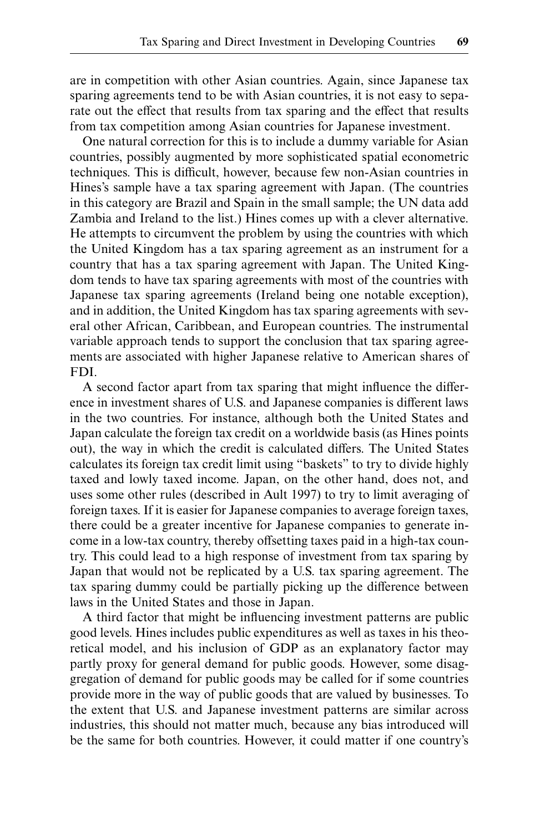are in competition with other Asian countries. Again, since Japanese tax sparing agreements tend to be with Asian countries, it is not easy to separate out the effect that results from tax sparing and the effect that results from tax competition among Asian countries for Japanese investment.

One natural correction for this is to include a dummy variable for Asian countries, possibly augmented by more sophisticated spatial econometric techniques. This is difficult, however, because few non-Asian countries in Hines's sample have a tax sparing agreement with Japan. (The countries in this category are Brazil and Spain in the small sample; the UN data add Zambia and Ireland to the list.) Hines comes up with a clever alternative. He attempts to circumvent the problem by using the countries with which the United Kingdom has a tax sparing agreement as an instrument for a country that has a tax sparing agreement with Japan. The United Kingdom tends to have tax sparing agreements with most of the countries with Japanese tax sparing agreements (Ireland being one notable exception), and in addition, the United Kingdom has tax sparing agreements with several other African, Caribbean, and European countries. The instrumental variable approach tends to support the conclusion that tax sparing agreements are associated with higher Japanese relative to American shares of FDI.

A second factor apart from tax sparing that might influence the difference in investment shares of U.S. and Japanese companies is different laws in the two countries. For instance, although both the United States and Japan calculate the foreign tax credit on a worldwide basis (as Hines points out), the way in which the credit is calculated differs. The United States calculates its foreign tax credit limit using "baskets" to try to divide highly taxed and lowly taxed income. Japan, on the other hand, does not, and uses some other rules (described in Ault 1997) to try to limit averaging of foreign taxes. If it is easier for Japanese companies to average foreign taxes, there could be a greater incentive for Japanese companies to generate income in a low-tax country, thereby offsetting taxes paid in a high-tax country. This could lead to a high response of investment from tax sparing by Japan that would not be replicated by a U.S. tax sparing agreement. The tax sparing dummy could be partially picking up the difference between laws in the United States and those in Japan.

A third factor that might be influencing investment patterns are public good levels. Hines includes public expenditures as well as taxes in his theoretical model, and his inclusion of GDP as an explanatory factor may partly proxy for general demand for public goods. However, some disaggregation of demand for public goods may be called for if some countries provide more in the way of public goods that are valued by businesses. To the extent that U.S. and Japanese investment patterns are similar across industries, this should not matter much, because any bias introduced will be the same for both countries. However, it could matter if one country's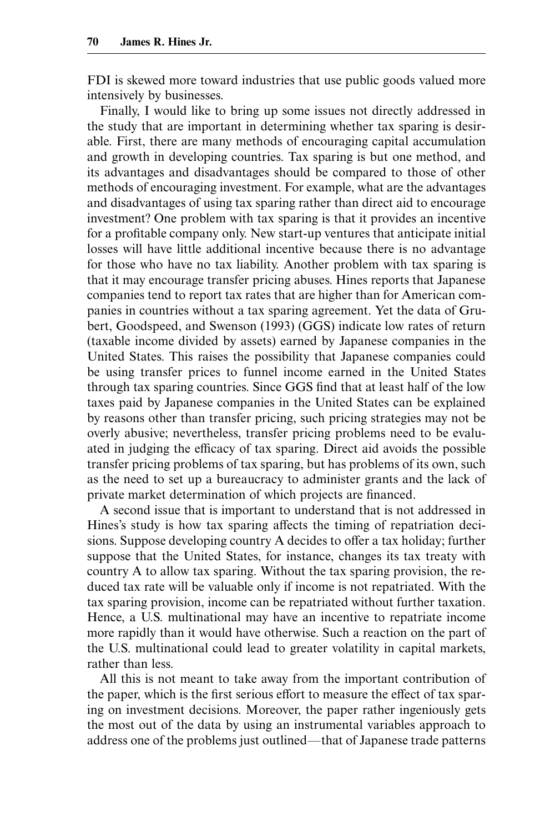FDI is skewed more toward industries that use public goods valued more intensively by businesses.

Finally, I would like to bring up some issues not directly addressed in the study that are important in determining whether tax sparing is desirable. First, there are many methods of encouraging capital accumulation and growth in developing countries. Tax sparing is but one method, and its advantages and disadvantages should be compared to those of other methods of encouraging investment. For example, what are the advantages and disadvantages of using tax sparing rather than direct aid to encourage investment? One problem with tax sparing is that it provides an incentive for a profitable company only. New start-up ventures that anticipate initial losses will have little additional incentive because there is no advantage for those who have no tax liability. Another problem with tax sparing is that it may encourage transfer pricing abuses. Hines reports that Japanese companies tend to report tax rates that are higher than for American companies in countries without a tax sparing agreement. Yet the data of Grubert, Goodspeed, and Swenson (1993) (GGS) indicate low rates of return (taxable income divided by assets) earned by Japanese companies in the United States. This raises the possibility that Japanese companies could be using transfer prices to funnel income earned in the United States through tax sparing countries. Since GGS find that at least half of the low taxes paid by Japanese companies in the United States can be explained by reasons other than transfer pricing, such pricing strategies may not be overly abusive; nevertheless, transfer pricing problems need to be evaluated in judging the efficacy of tax sparing. Direct aid avoids the possible transfer pricing problems of tax sparing, but has problems of its own, such as the need to set up a bureaucracy to administer grants and the lack of private market determination of which projects are financed.

A second issue that is important to understand that is not addressed in Hines's study is how tax sparing affects the timing of repatriation decisions. Suppose developing country A decides to offer a tax holiday; further suppose that the United States, for instance, changes its tax treaty with country A to allow tax sparing. Without the tax sparing provision, the reduced tax rate will be valuable only if income is not repatriated. With the tax sparing provision, income can be repatriated without further taxation. Hence, a U.S. multinational may have an incentive to repatriate income more rapidly than it would have otherwise. Such a reaction on the part of the U.S. multinational could lead to greater volatility in capital markets, rather than less.

All this is not meant to take away from the important contribution of the paper, which is the first serious effort to measure the effect of tax sparing on investment decisions. Moreover, the paper rather ingeniously gets the most out of the data by using an instrumental variables approach to address one of the problems just outlined—that of Japanese trade patterns